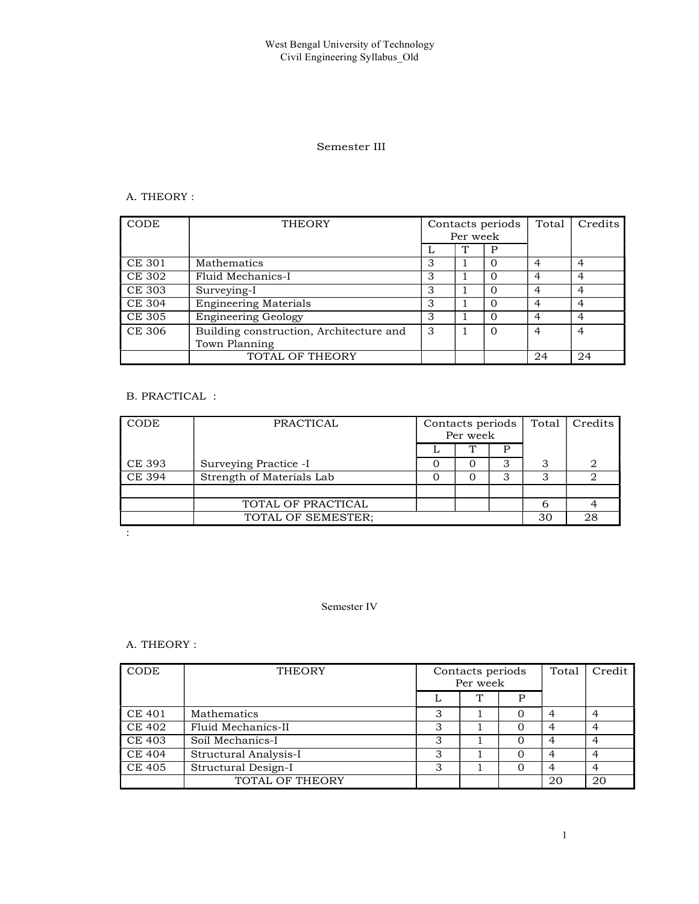# Semester III

# A. THEORY :

| CODE          | <b>THEORY</b>                           |   |          | Contacts periods | Total | Credits        |
|---------------|-----------------------------------------|---|----------|------------------|-------|----------------|
|               |                                         |   | Per week |                  |       |                |
|               |                                         |   |          | P                |       |                |
| CE 301        | Mathematics                             | 3 |          |                  |       |                |
| <b>CE 302</b> | Fluid Mechanics-I                       | З |          |                  | ◢     |                |
| <b>CE 303</b> | Surveying-I                             | 3 |          |                  |       |                |
| <b>CE 304</b> | <b>Engineering Materials</b>            | 3 |          |                  |       |                |
| <b>CE 305</b> | <b>Engineering Geology</b>              | 3 |          | $\Omega$         |       | $\overline{a}$ |
| <b>CE 306</b> | Building construction, Architecture and | 3 |          | $\Omega$         | 4     |                |
|               | Town Planning                           |   |          |                  |       |                |
|               | TOTAL OF THEORY                         |   |          |                  | 24    | 24             |

# B. PRACTICAL :

| CODE          | PRACTICAL                 | Contacts periods  <br>Per week |  | Total | Credits |
|---------------|---------------------------|--------------------------------|--|-------|---------|
|               |                           |                                |  |       |         |
| CE 393        | Surveying Practice -I     |                                |  |       |         |
| <b>CE 394</b> | Strength of Materials Lab |                                |  |       |         |
|               |                           |                                |  |       |         |
|               | TOTAL OF PRACTICAL        |                                |  |       |         |
|               | TOTAL OF SEMESTER;        |                                |  | 30    | 28      |
|               |                           |                                |  |       |         |

# Semester IV

# A. THEORY :

| CODE          | <b>THEORY</b>         |         | Contacts periods<br>Per week | Total    | Credit |    |
|---------------|-----------------------|---------|------------------------------|----------|--------|----|
|               |                       |         | ᠇᠇                           | D        |        |    |
| <b>CE 401</b> | Mathematics           |         |                              | $\Omega$ |        | 4  |
| <b>CE 402</b> | Fluid Mechanics-II    | $\cdot$ |                              | $\theta$ |        | 4  |
| <b>CE 403</b> | Soil Mechanics-I      | ۰D      |                              | 0        |        |    |
| <b>CE 404</b> | Structural Analysis-I | $\cdot$ |                              |          |        | 4  |
| <b>CE 405</b> | Structural Design-I   |         |                              |          |        |    |
|               | TOTAL OF THEORY       |         |                              |          | 20     | 20 |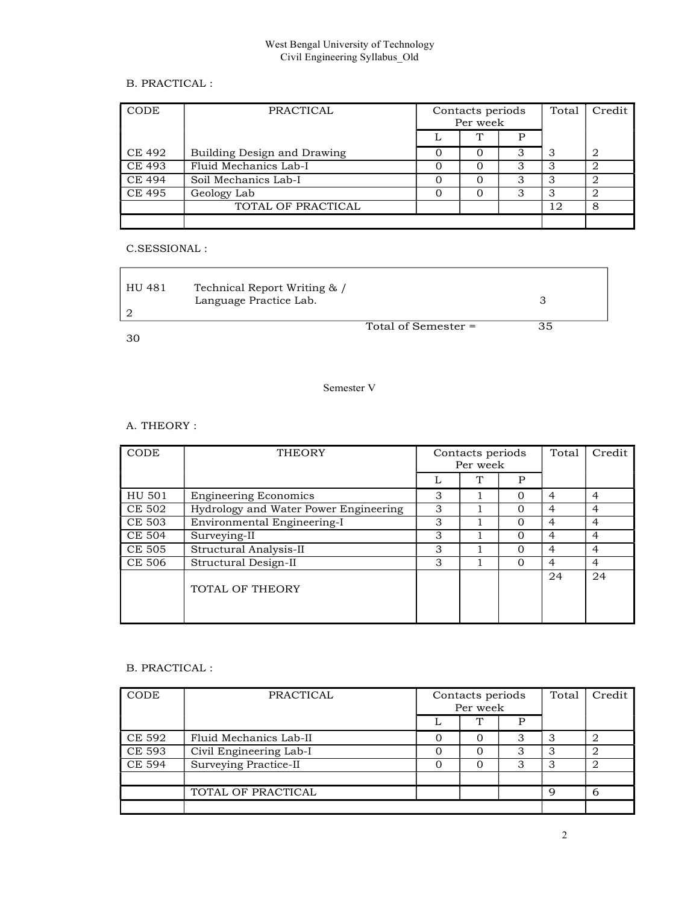# B. PRACTICAL :

| CODE           | PRACTICAL                   | Contacts periods<br>Per week | Total | Credit |   |
|----------------|-----------------------------|------------------------------|-------|--------|---|
|                |                             | T.<br>D                      |       |        |   |
| CE 492         | Building Design and Drawing |                              | G     |        | 2 |
| CE493          | Fluid Mechanics Lab-I       | Ω                            | З     |        |   |
| CE 494         | Soil Mechanics Lab-I        |                              | ٠J    |        |   |
| $\vert$ CE 495 | Geology Lab                 | 0                            | З     |        |   |
|                | TOTAL OF PRACTICAL          |                              |       | 12     | 8 |
|                |                             |                              |       |        |   |

# C.SESSIONAL :

| HU 481 | Technical Report Writing & / |                     |  |
|--------|------------------------------|---------------------|--|
|        | Language Practice Lab.       |                     |  |
|        |                              |                     |  |
|        |                              | Total of Semester = |  |

30

# Semester V

# A. THEORY :

| CODE          | <b>THEORY</b>                         |   | Contacts periods<br>Per week | Total    | Credit         |                |
|---------------|---------------------------------------|---|------------------------------|----------|----------------|----------------|
|               |                                       | ⊥ | ጥ                            | P        |                |                |
| HU 501        | <b>Engineering Economics</b>          | 3 |                              | 0        | 4              | 4              |
| CE 502        | Hydrology and Water Power Engineering | 3 |                              | 0        | 4              | 4              |
| CE 503        | Environmental Engineering-I           | 3 |                              | 0        | 4              | 4              |
| <b>CE 504</b> | Surveying-II                          | 3 |                              | 0        | $\overline{4}$ | 4              |
| CE 505        | Structural Analysis-II                | 3 |                              | 0        | 4              | 4              |
| CE 506        | Structural Design-II                  | 3 |                              | $\Omega$ | $\overline{4}$ | $\overline{4}$ |
|               | TOTAL OF THEORY                       |   |                              |          | 24             | 24             |

# B. PRACTICAL :

| CODE          | PRACTICAL               | Contacts periods<br>Per week | Total  | Credit |   |
|---------------|-------------------------|------------------------------|--------|--------|---|
|               | ᠇᠇                      | D                            |        |        |   |
| CE 592        | Fluid Mechanics Lab-II  | 0                            | З      |        |   |
| <b>CE 593</b> | Civil Engineering Lab-I | 0                            | З      |        |   |
| CE 594        | Surveying Practice-II   | 0                            | っ<br>J |        |   |
|               | TOTAL OF PRACTICAL      |                              |        | Q      | h |
|               |                         |                              |        |        |   |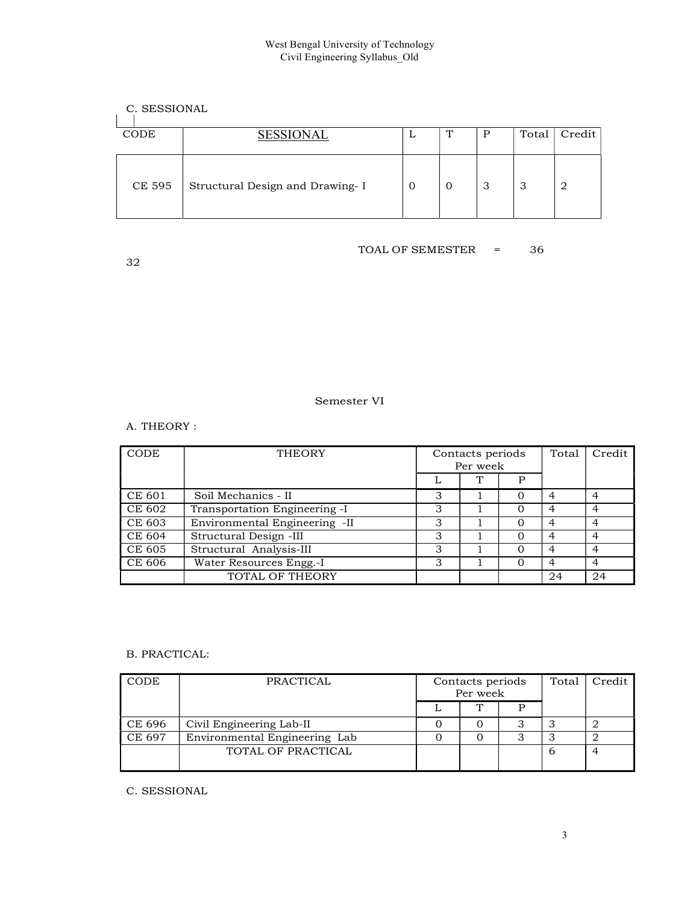# C. SESSIONAL

| CODE   | <b>SESSIONAL</b>                 | ப | $\mathbf{T}$<br>. . |    | Total | Credit |
|--------|----------------------------------|---|---------------------|----|-------|--------|
| CE 595 | Structural Design and Drawing- I | U | 0                   | ن. | J.    | -2     |

32

# TOAL OF SEMESTER = 36

# Semester VI

# A. THEORY :

| CODE   | <b>THEORY</b>                 |    | Contacts periods<br>Per week | Total | Credit |    |
|--------|-------------------------------|----|------------------------------|-------|--------|----|
|        |                               | ⊥  | ᠇᠇                           | Ρ     |        |    |
| CE 601 | Soil Mechanics - II           | 3  |                              | Ω     | 4      | 4  |
| CE 602 | Transportation Engineering -I | G  |                              |       |        | 4  |
| CE 603 | Environmental Engineering -II | 3  |                              | O     | 4      | 4  |
| CE 604 | Structural Design -III        | 3  |                              |       | 4      | 4  |
| CE 605 | Structural Analysis-III       | 3  |                              | 0     | 4      | 4  |
| CE 606 | Water Resources Engg.-I       | د. |                              |       |        |    |
|        | TOTAL OF THEORY               |    |                              |       | 24     | 24 |

# B. PRACTICAL:

| <b>CODE</b> | PRACTICAL                     | Contacts periods<br>Per week | Total | Credit |   |
|-------------|-------------------------------|------------------------------|-------|--------|---|
|             |                               | <b>TN</b>                    | D     |        |   |
| CE 696      | Civil Engineering Lab-II      | 0                            | s.    |        |   |
| CE 697      | Environmental Engineering Lab | 0                            | ت     |        |   |
|             | TOTAL OF PRACTICAL            |                              |       |        | ↵ |

C. SESSIONAL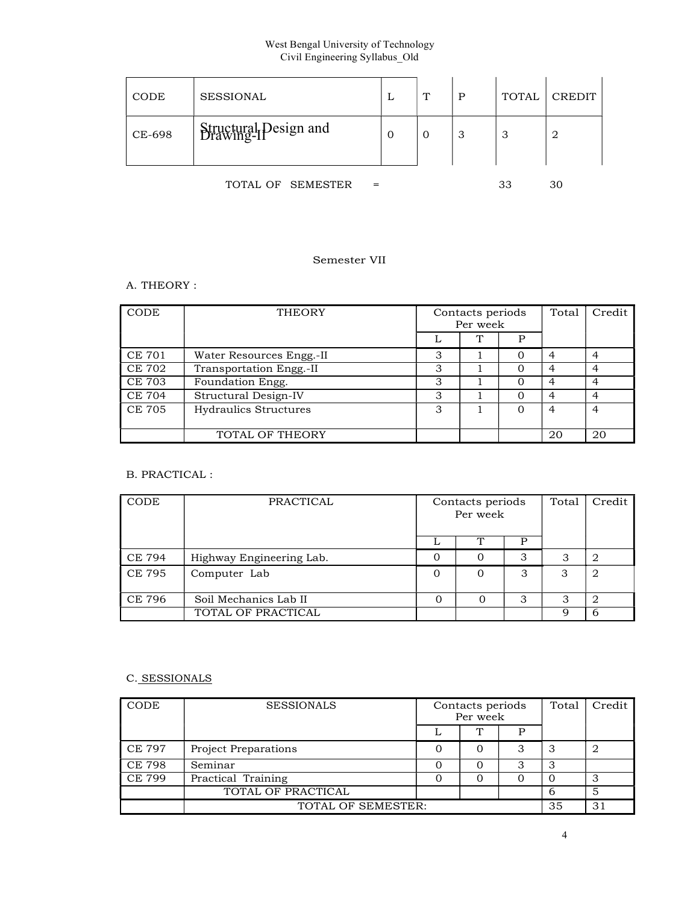| CODE   | SESSIONAL                           | ⊥           | $\mathbf T$ | P<br>л. | <b>TOTAL</b> | CREDIT |
|--------|-------------------------------------|-------------|-------------|---------|--------------|--------|
| CE-698 | Structural Design and<br>Drawing-IP | $\mathbf 0$ | C           | 3       | っ<br>ر.      | 2      |

TOTAL OF SEMESTER = 33 30

# Semester VII

# A. THEORY :

| CODE          | THEORY                   |   | Contacts periods<br>Per week |   |                | Credit   |
|---------------|--------------------------|---|------------------------------|---|----------------|----------|
|               |                          | ⊥ | Ţ                            | р |                |          |
| CE 701        | Water Resources Engg.-II | 3 |                              | C |                |          |
| <b>CE 702</b> | Transportation Engg.-II  | З |                              |   |                |          |
| CE 703        | Foundation Engg.         | З |                              |   |                | 4        |
| CE 704        | Structural Design-IV     | 3 |                              |   |                | $\Delta$ |
| <b>CE 705</b> | Hydraulics Structures    | З |                              | 0 | $\overline{4}$ | 4        |
|               | TOTAL OF THEORY          |   |                              |   | 20             | 20       |

# B. PRACTICAL :

| CODE   | PRACTICAL                | Contacts periods<br>Per week |                |   | Total | Credit |
|--------|--------------------------|------------------------------|----------------|---|-------|--------|
|        |                          | ∸                            |                |   |       |        |
| CE 794 | Highway Engineering Lab. | O                            |                |   |       | 2      |
| CE 795 | Computer Lab             | 0                            | $\overline{0}$ | З | З     | 2      |
| CE 796 | Soil Mechanics Lab II    |                              |                |   |       |        |
|        | TOTAL OF PRACTICAL       |                              |                |   |       | 6      |

# C. SESSIONALS

| CODE  | <b>SESSIONALS</b>           | Contacts periods<br>Per week |    |    | Total | Credit |
|-------|-----------------------------|------------------------------|----|----|-------|--------|
|       |                             |                              | ᠇᠇ | D  |       |        |
| CE797 | <b>Project Preparations</b> |                              | 0  | 3  |       | 2      |
| CE798 | Seminar                     |                              | Ω  | J  |       |        |
| CE799 | Practical Training          |                              | Ω  |    |       |        |
|       | TOTAL OF PRACTICAL          |                              |    |    |       |        |
|       | TOTAL OF SEMESTER:          |                              |    | 35 | 31    |        |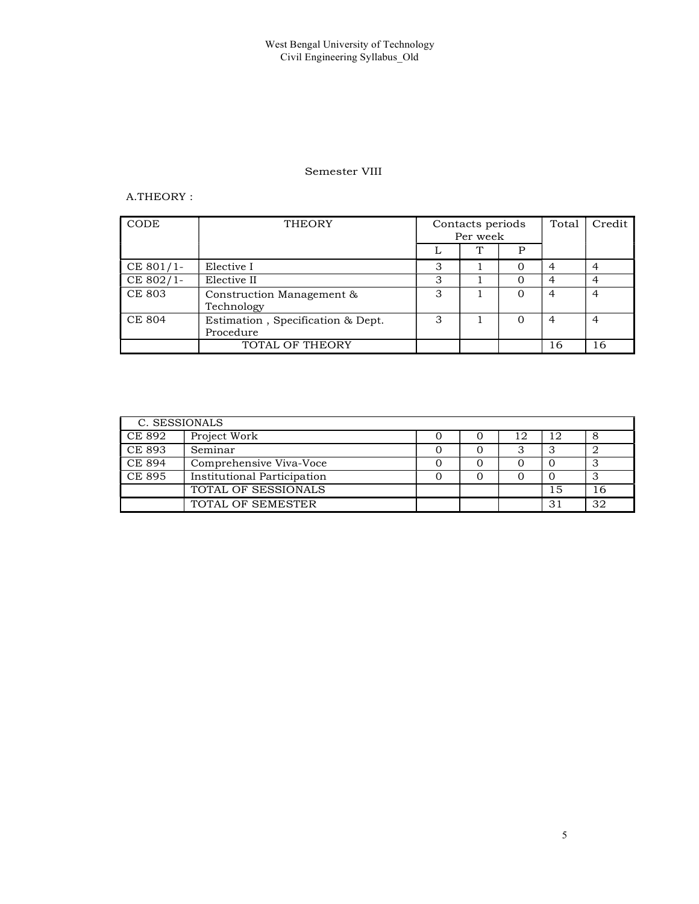## Semester VIII

# A.THEORY :

| CODE          | <b>THEORY</b>                                  | Contacts periods<br>Per week |           |   |    | Total | Credit |
|---------------|------------------------------------------------|------------------------------|-----------|---|----|-------|--------|
|               |                                                | ⊷                            | <b>TN</b> | P |    |       |        |
| $CE 801/1-$   | Elective I                                     | 3                            |           |   | 4  |       |        |
| CE 802/1-     | Elective II                                    | 3                            |           |   | 4  | 4     |        |
| <b>CE 803</b> | Construction Management &<br>Technology        | 3                            |           |   | 4  | 4     |        |
| <b>CE 804</b> | Estimation, Specification & Dept.<br>Procedure | 3                            |           |   | 4  | 4     |        |
|               | TOTAL OF THEORY                                |                              |           |   | 16 | 16    |        |

| C. SESSIONALS |                                    |  |    |     |    |
|---------------|------------------------------------|--|----|-----|----|
| CE 892        | Project Work                       |  | 12 | 12  | O  |
| CE893         | Seminar                            |  |    |     |    |
| CE 894        | Comprehensive Viva-Voce            |  |    |     |    |
| CE 895        | <b>Institutional Participation</b> |  |    |     |    |
|               | TOTAL OF SESSIONALS                |  |    | 15  | 16 |
|               | TOTAL OF SEMESTER                  |  |    | -31 | 32 |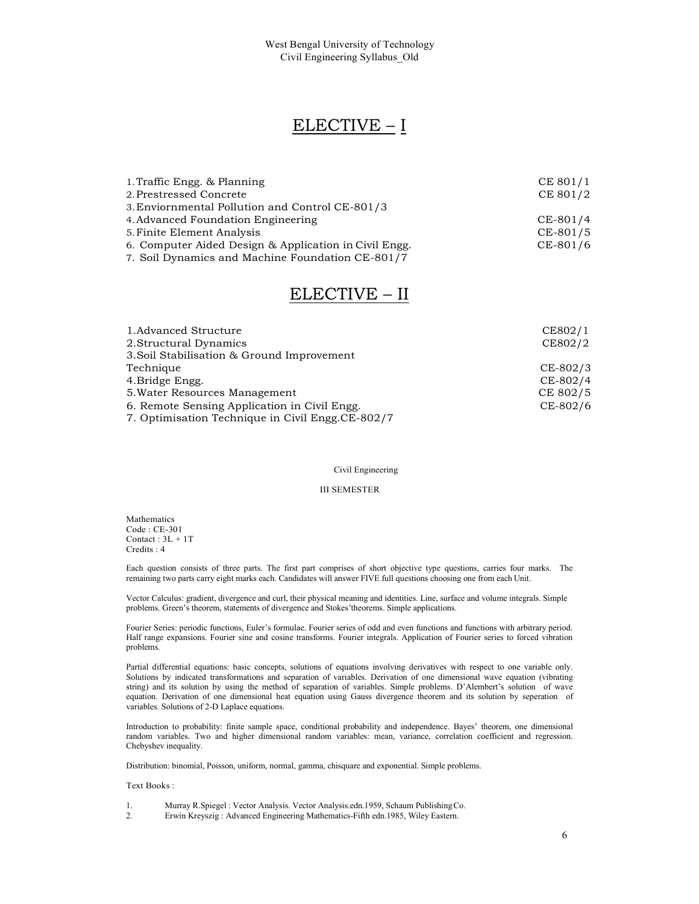# ELECTIVE – I

| 1. Traffic Engg. & Planning                           | CE 801/1 |  |
|-------------------------------------------------------|----------|--|
| 2. Prestressed Concrete                               | CE 801/2 |  |
| 3. Enviornmental Pollution and Control CE-801/3       |          |  |
| 4. Advanced Foundation Engineering                    | CE-801/4 |  |
| 5. Finite Element Analysis                            | CE-801/5 |  |
| 6. Computer Aided Design & Application in Civil Engg. | CE-801/6 |  |
| 7. Soil Dynamics and Machine Foundation CE-801/7      |          |  |

# ELECTIVE – II

| 1. Advanced Structure                            | CE802/1  |  |
|--------------------------------------------------|----------|--|
| 2. Structural Dynamics                           | CE802/2  |  |
| 3. Soil Stabilisation & Ground Improvement       |          |  |
| Technique                                        | CE-802/3 |  |
| 4. Bridge Engg.                                  | CE-802/4 |  |
| 5. Water Resources Management                    | CE 802/5 |  |
| 6. Remote Sensing Application in Civil Engg.     | CE-802/6 |  |
| 7. Optimisation Technique in Civil Engg.CE-802/7 |          |  |

## Civil Engineering

#### III SEMESTER

Mathematics Code : CE-301 Contact :  $3L + 1T$ Credits : 4

Each question consists of three parts. The first part comprises of short objective type questions, carries four marks. The remaining two parts carry eight marks each. Candidates will answer FIVE full questions choosing one from each Unit.

Vector Calculus: gradient, divergence and curl, their physical meaning and identities. Line, surface and volume integrals. Simple problems. Green's theorem, statements of divergence and Stokes'theorems. Simple applications.

Fourier Series: periodic functions, Euler's formulae. Fourier series of odd and even functions and functions with arbitrary period. Half range expansions. Fourier sine and cosine transforms. Fourier integrals. Application of Fourier series to forced vibration problems.

Partial differential equations: basic concepts, solutions of equations involving derivatives with respect to one variable only. Solutions by indicated transformations and separation of variables. Derivation of one dimensional wave equation (vibrating string) and its solution by using the method of separation of variables. Simple problems. D'Alembert's solution of wave equation. Derivation of one dimensional heat equation using Gauss divergence theorem and its solution by seperation of variables. Solutions of 2-D Laplace equations.

Introduction to probability: finite sample space, conditional probability and independence. Bayes' theorem, one dimensional random variables. Two and higher dimensional random variables: mean, variance, correlation coefficient and regression. Chebyshev inequality.

Distribution: binomial, Poisson, uniform, normal, gamma, chisquare and exponential. Simple problems.

#### Text Books :

- 1. Murray R.Spiegel : Vector Analysis. Vector Analysis.edn.1959, Schaum Publishing Co.
- 2. Erwin Kreyszig : Advanced Engineering Mathematics-Fifth edn.1985, Wiley Eastern.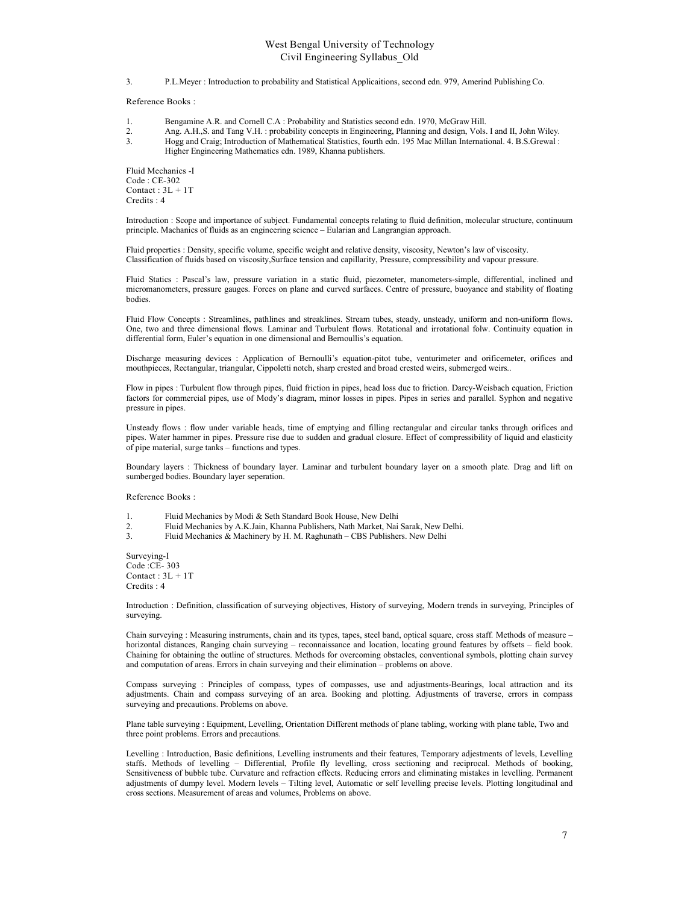3. P.L.Meyer : Introduction to probability and Statistical Applicaitions, second edn. 979, Amerind Publishing Co.

Reference Books :

- 1. Bengamine A.R. and Cornell C.A : Probability and Statistics second edn. 1970, McGraw Hill.
- 2. Ang. A.H.,S. and Tang V.H. : probability concepts in Engineering, Planning and design, Vols. I and II, John Wiley.
- 3. Hogg and Craig; Introduction of Mathematical Statistics, fourth edn. 195 Mac Millan International. 4. B.S.Grewal : Higher Engineering Mathematics edn. 1989, Khanna publishers.

Fluid Mechanics -I Code : CE-302 Contact :  $3L + 1T$ Credits : 4

Introduction : Scope and importance of subject. Fundamental concepts relating to fluid definition, molecular structure, continuum principle. Machanics of fluids as an engineering science – Eularian and Langrangian approach.

Fluid properties : Density, specific volume, specific weight and relative density, viscosity, Newton's law of viscosity. Classification of fluids based on viscosity,Surface tension and capillarity, Pressure, compressibility and vapour pressure.

Fluid Statics : Pascal's law, pressure variation in a static fluid, piezometer, manometers-simple, differential, inclined and micromanometers, pressure gauges. Forces on plane and curved surfaces. Centre of pressure, buoyance and stability of floating bodies.

Fluid Flow Concepts : Streamlines, pathlines and streaklines. Stream tubes, steady, unsteady, uniform and non-uniform flows. One, two and three dimensional flows. Laminar and Turbulent flows. Rotational and irrotational folw. Continuity equation in differential form, Euler's equation in one dimensional and Bernoullis's equation.

Discharge measuring devices : Application of Bernoulli's equation-pitot tube, venturimeter and orificemeter, orifices and mouthpieces, Rectangular, triangular, Cippoletti notch, sharp crested and broad crested weirs, submerged weirs..

Flow in pipes : Turbulent flow through pipes, fluid friction in pipes, head loss due to friction. Darcy-Weisbach equation, Friction factors for commercial pipes, use of Mody's diagram, minor losses in pipes. Pipes in series and parallel. Syphon and negative pressure in pipes.

Unsteady flows : flow under variable heads, time of emptying and filling rectangular and circular tanks through orifices and pipes. Water hammer in pipes. Pressure rise due to sudden and gradual closure. Effect of compressibility of liquid and elasticity of pipe material, surge tanks – functions and types.

Boundary layers : Thickness of boundary layer. Laminar and turbulent boundary layer on a smooth plate. Drag and lift on sumberged bodies. Boundary layer seperation.

Reference Books :

- 1. Fluid Mechanics by Modi & Seth Standard Book House, New Delhi
- 2. Fluid Mechanics by A.K.Jain, Khanna Publishers, Nath Market, Nai Sarak, New Delhi.<br>3. Fluid Mechanics & Machinery by H. M. Raghunath CBS Publishers. New Delhi
- 3. Fluid Mechanics & Machinery by H. M. Raghunath CBS Publishers. New Delhi

Surveying-I Code :CE- 303 Contact :  $3L + 1T$ Credits : 4

Introduction : Definition, classification of surveying objectives, History of surveying, Modern trends in surveying, Principles of surveying.

Chain surveying : Measuring instruments, chain and its types, tapes, steel band, optical square, cross staff. Methods of measure – horizontal distances, Ranging chain surveying – reconnaissance and location, locating ground features by offsets – field book. Chaining for obtaining the outline of structures. Methods for overcoming obstacles, conventional symbols, plotting chain survey and computation of areas. Errors in chain surveying and their elimination – problems on above.

Compass surveying : Principles of compass, types of compasses, use and adjustments-Bearings, local attraction and its adjustments. Chain and compass surveying of an area. Booking and plotting. Adjustments of traverse, errors in compass surveying and precautions. Problems on above.

Plane table surveying : Equipment, Levelling, Orientation Different methods of plane tabling, working with plane table, Two and three point problems. Errors and precautions.

Levelling : Introduction, Basic definitions, Levelling instruments and their features, Temporary adjestments of levels, Levelling staffs. Methods of levelling – Differential, Profile fly levelling, cross sectioning and reciprocal. Methods of booking, Sensitiveness of bubble tube. Curvature and refraction effects. Reducing errors and eliminating mistakes in levelling. Permanent adjustments of dumpy level. Modern levels – Tilting level, Automatic or self levelling precise levels. Plotting longitudinal and cross sections. Measurement of areas and volumes, Problems on above.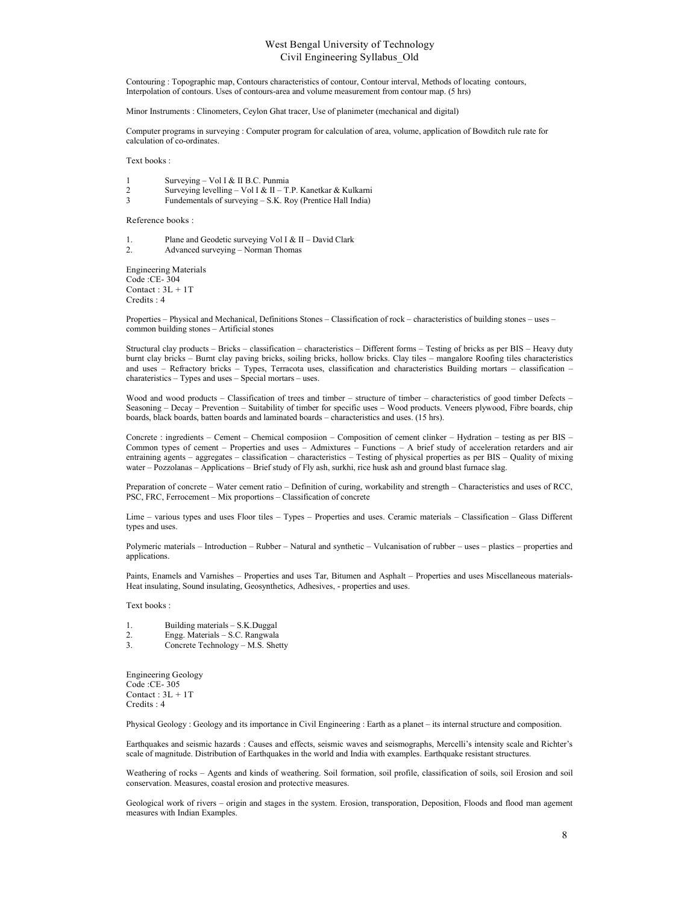Contouring : Topographic map, Contours characteristics of contour, Contour interval, Methods of locating contours, Interpolation of contours. Uses of contours-area and volume measurement from contour map. (5 hrs)

Minor Instruments : Clinometers, Ceylon Ghat tracer, Use of planimeter (mechanical and digital)

Computer programs in surveying : Computer program for calculation of area, volume, application of Bowditch rule rate for calculation of co-ordinates.

Text books :

- 1 Surveying Vol I & II B.C. Punmia
- 2 Surveying levelling Vol I & II T.P. Kanetkar & Kulkarni<br>3 Fundementals of surveying S.K. Roy (Prentice Hall India)
- Fundementals of surveying S.K. Roy (Prentice Hall India)

Reference books :

1. Plane and Geodetic surveying Vol I & II – David Clark 2. Advanced surveying – Norman Thomas

Engineering Materials Code :CE- 304 Contact : 3L + 1T Credits : 4

Properties – Physical and Mechanical, Definitions Stones – Classification of rock – characteristics of building stones – uses – common building stones – Artificial stones

Structural clay products – Bricks – classification – characteristics – Different forms – Testing of bricks as per BIS – Heavy duty burnt clay bricks – Burnt clay paving bricks, soiling bricks, hollow bricks. Clay tiles – mangalore Roofing tiles characteristics and uses – Refractory bricks – Types, Terracota uses, classification and characteristics Building mortars – classification – charateristics – Types and uses – Special mortars – uses.

Wood and wood products – Classification of trees and timber – structure of timber – characteristics of good timber Defects – Seasoning – Decay – Prevention – Suitability of timber for specific uses – Wood products. Veneers plywood, Fibre boards, chip boards, black boards, batten boards and laminated boards – characteristics and uses. (15 hrs).

Concrete : ingredients – Cement – Chemical composiion – Composition of cement clinker – Hydration – testing as per BIS – Common types of cement – Properties and uses – Admixtures – Functions – A brief study of acceleration retarders and air entraining agents – aggregates – classification – characteristics – Testing of physical properties as per BIS – Quality of mixing water – Pozzolanas – Applications – Brief study of Fly ash, surkhi, rice husk ash and ground blast furnace slag.

Preparation of concrete – Water cement ratio – Definition of curing, workability and strength – Characteristics and uses of RCC, PSC, FRC, Ferrocement – Mix proportions – Classification of concrete

Lime – various types and uses Floor tiles – Types – Properties and uses. Ceramic materials – Classification – Glass Different types and uses.

Polymeric materials – Introduction – Rubber – Natural and synthetic – Vulcanisation of rubber – uses – plastics – properties and applications.

Paints, Enamels and Varnishes – Properties and uses Tar, Bitumen and Asphalt – Properties and uses Miscellaneous materials-Heat insulating, Sound insulating, Geosynthetics, Adhesives, - properties and uses.

Text books :

| 1.           | Building materials – S.K.Duggal |
|--------------|---------------------------------|
| $\sim$<br>z. | Engg. Materials - S.C. Rangwala |

3. Concrete Technology – M.S. Shetty

Engineering Geology Code :CE- 305 Contact :  $3L + 1T$ Credits : 4

Physical Geology : Geology and its importance in Civil Engineering : Earth as a planet – its internal structure and composition.

Earthquakes and seismic hazards : Causes and effects, seismic waves and seismographs, Mercelli's intensity scale and Richter's scale of magnitude. Distribution of Earthquakes in the world and India with examples. Earthquake resistant structures.

Weathering of rocks – Agents and kinds of weathering. Soil formation, soil profile, classification of soils, soil Erosion and soil conservation. Measures, coastal erosion and protective measures.

Geological work of rivers – origin and stages in the system. Erosion, transporation, Deposition, Floods and flood man agement measures with Indian Examples.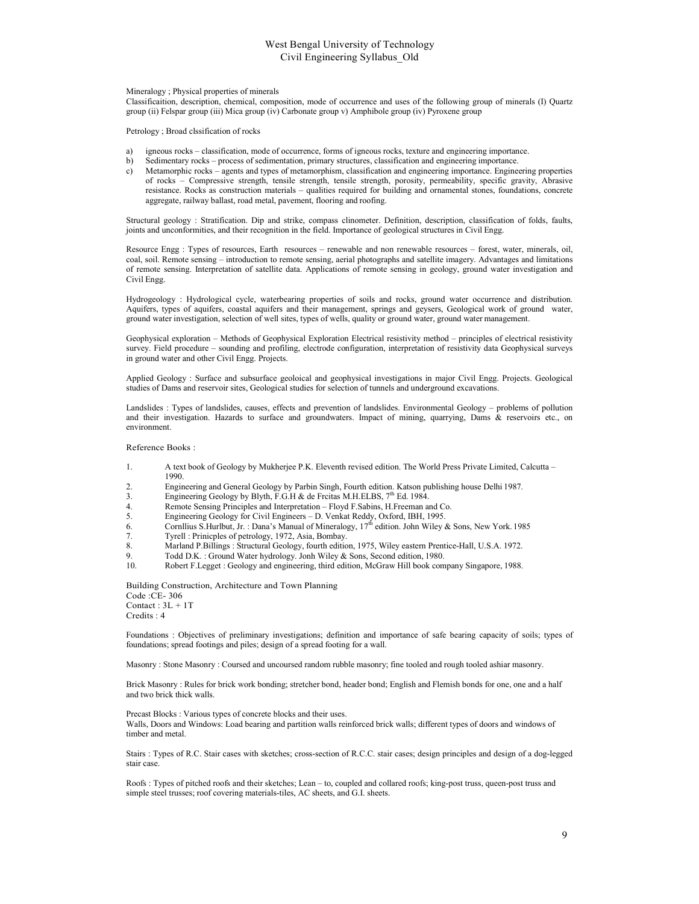Mineralogy ; Physical properties of minerals

Classificaition, description, chemical, composition, mode of occurrence and uses of the following group of minerals (I) Quartz group (ii) Felspar group (iii) Mica group (iv) Carbonate group v) Amphibole group (iv) Pyroxene group

Petrology ; Broad clssification of rocks

- a) igneous rocks classification, mode of occurrence, forms of igneous rocks, texture and engineering importance.
- b) Sedimentary rocks process of sedimentation, primary structures, classification and engineering importance.
- c) Metamorphic rocks agents and types of metamorphism, classification and engineering importance. Engineering properties of rocks – Compressive strength, tensile strength, tensile strength, porosity, permeability, specific gravity, Abrasive resistance. Rocks as construction materials – qualities required for building and ornamental stones, foundations, concrete aggregate, railway ballast, road metal, pavement, flooring and roofing.

Structural geology : Stratification. Dip and strike, compass clinometer. Definition, description, classification of folds, faults, joints and unconformities, and their recognition in the field. Importance of geological structures in Civil Engg.

Resource Engg : Types of resources, Earth resources – renewable and non renewable resources – forest, water, minerals, oil, coal, soil. Remote sensing – introduction to remote sensing, aerial photographs and satellite imagery. Advantages and limitations of remote sensing. Interpretation of satellite data. Applications of remote sensing in geology, ground water investigation and Civil Engg.

Hydrogeology : Hydrological cycle, waterbearing properties of soils and rocks, ground water occurrence and distribution. Aquifers, types of aquifers, coastal aquifers and their management, springs and geysers, Geological work of ground water, ground water investigation, selection of well sites, types of wells, quality or ground water, ground water management.

Geophysical exploration – Methods of Geophysical Exploration Electrical resistivity method – principles of electrical resistivity survey. Field procedure – sounding and profiling, electrode configuration, interpretation of resistivity data Geophysical surveys in ground water and other Civil Engg. Projects.

Applied Geology : Surface and subsurface geoloical and geophysical investigations in major Civil Engg. Projects. Geological studies of Dams and reservoir sites, Geological studies for selection of tunnels and underground excavations.

Landslides : Types of landslides, causes, effects and prevention of landslides. Environmental Geology – problems of pollution and their investigation. Hazards to surface and groundwaters. Impact of mining, quarrying, Dams & reservoirs etc., on environment.

Reference Books :

- 1. A text book of Geology by Mukherjee P.K. Eleventh revised edition. The World Press Private Limited, Calcutta 1990.
- 2. Engineering and General Geology by Parbin Singh, Fourth edition. Katson publishing house Delhi 1987.
- 3. Engineering Geology by Blyth, F.G.H & de Frcitas M.H.ELBS,  $7<sup>th</sup>$  Ed. 1984.<br>4. Remote Sensing Principles and Interpretation Floyd F.Sabins, H.Freeman and
- Remote Sensing Principles and Interpretation Floyd F.Sabins, H.Freeman and Co.
- 5. Engineering Geology for Civil Engineers D. Venkat Reddy, Oxford, IBH, 1995.
- 6. Cornllius S.Hurlbut, Jr. : Dana's Manual of Mineralogy,  $17<sup>th</sup>$  edition. John Wiley & Sons, New York. 1985<br>7. Tyrell : Prinicples of petrology, 1972, Asia, Bombay.
- 
- 7. Tyrell : Prinicples of petrology, 1972, Asia, Bombay. 8. Marland P.Billings : Structural Geology, fourth edition, 1975, Wiley eastern Prentice-Hall, U.S.A. 1972.
- 9. Todd D.K. : Ground Water hydrology. Jonh Wiley & Sons, Second edition, 1980.
- 10. Robert F.Legget : Geology and engineering, third edition, McGraw Hill book company Singapore, 1988.

Building Construction, Architecture and Town Planning Code :CE- 306 Contact :  $3L + 1T$ Credits : 4

Foundations : Objectives of preliminary investigations; definition and importance of safe bearing capacity of soils; types of foundations; spread footings and piles; design of a spread footing for a wall.

Masonry : Stone Masonry : Coursed and uncoursed random rubble masonry; fine tooled and rough tooled ashiar masonry.

Brick Masonry : Rules for brick work bonding; stretcher bond, header bond; English and Flemish bonds for one, one and a half and two brick thick walls.

Precast Blocks : Various types of concrete blocks and their uses.

Walls, Doors and Windows: Load bearing and partition walls reinforced brick walls; different types of doors and windows of timber and metal.

Stairs : Types of R.C. Stair cases with sketches; cross-section of R.C.C. stair cases; design principles and design of a dog-legged stair case.

Roofs : Types of pitched roofs and their sketches; Lean – to, coupled and collared roofs; king-post truss, queen-post truss and simple steel trusses; roof covering materials-tiles, AC sheets, and G.I. sheets.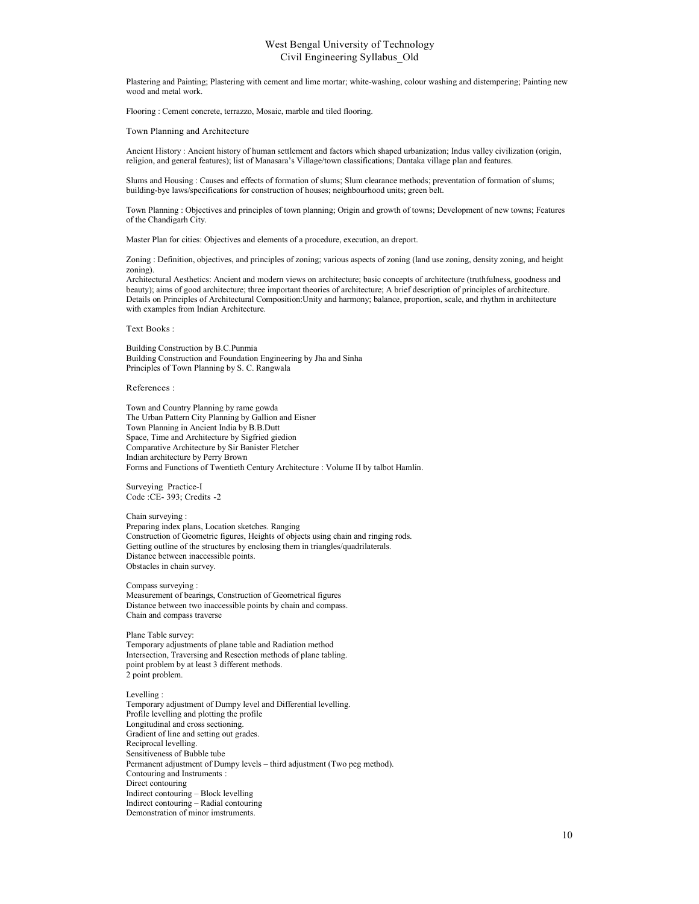Plastering and Painting; Plastering with cement and lime mortar; white-washing, colour washing and distempering; Painting new wood and metal work.

Flooring : Cement concrete, terrazzo, Mosaic, marble and tiled flooring.

Town Planning and Architecture

Ancient History : Ancient history of human settlement and factors which shaped urbanization; Indus valley civilization (origin, religion, and general features); list of Manasara's Village/town classifications; Dantaka village plan and features.

Slums and Housing : Causes and effects of formation of slums; Slum clearance methods; preventation of formation of slums; building-bye laws/specifications for construction of houses; neighbourhood units; green belt.

Town Planning : Objectives and principles of town planning; Origin and growth of towns; Development of new towns; Features of the Chandigarh City.

Master Plan for cities: Objectives and elements of a procedure, execution, an dreport.

Zoning : Definition, objectives, and principles of zoning; various aspects of zoning (land use zoning, density zoning, and height zoning).

Architectural Aesthetics: Ancient and modern views on architecture; basic concepts of architecture (truthfulness, goodness and beauty); aims of good architecture; three important theories of architecture; A brief description of principles of architecture. Details on Principles of Architectural Composition:Unity and harmony; balance, proportion, scale, and rhythm in architecture with examples from Indian Architecture.

Text Books :

Building Construction by B.C.Punmia Building Construction and Foundation Engineering by Jha and Sinha Principles of Town Planning by S. C. Rangwala

#### References :

Town and Country Planning by rame gowda The Urban Pattern City Planning by Gallion and Eisner Town Planning in Ancient India by B.B.Dutt Space, Time and Architecture by Sigfried giedion Comparative Architecture by Sir Banister Fletcher Indian architecture by Perry Brown Forms and Functions of Twentieth Century Architecture : Volume II by talbot Hamlin.

Surveying Practice-I Code :CE- 393; Credits -2

#### Chain surveying :

Preparing index plans, Location sketches. Ranging Construction of Geometric figures, Heights of objects using chain and ringing rods. Getting outline of the structures by enclosing them in triangles/quadrilaterals. Distance between inaccessible points. Obstacles in chain survey.

Compass surveying : Measurement of bearings, Construction of Geometrical figures Distance between two inaccessible points by chain and compass. Chain and compass traverse

Plane Table survey: Temporary adjustments of plane table and Radiation method Intersection, Traversing and Resection methods of plane tabling. point problem by at least 3 different methods. 2 point problem.

#### Levelling :

Temporary adjustment of Dumpy level and Differential levelling. Profile levelling and plotting the profile Longitudinal and cross sectioning. Gradient of line and setting out grades. Reciprocal levelling. Sensitiveness of Bubble tube Permanent adjustment of Dumpy levels – third adjustment (Two peg method). Contouring and Instruments : Direct contouring Indirect contouring – Block levelling Indirect contouring – Radial contouring Demonstration of minor imstruments.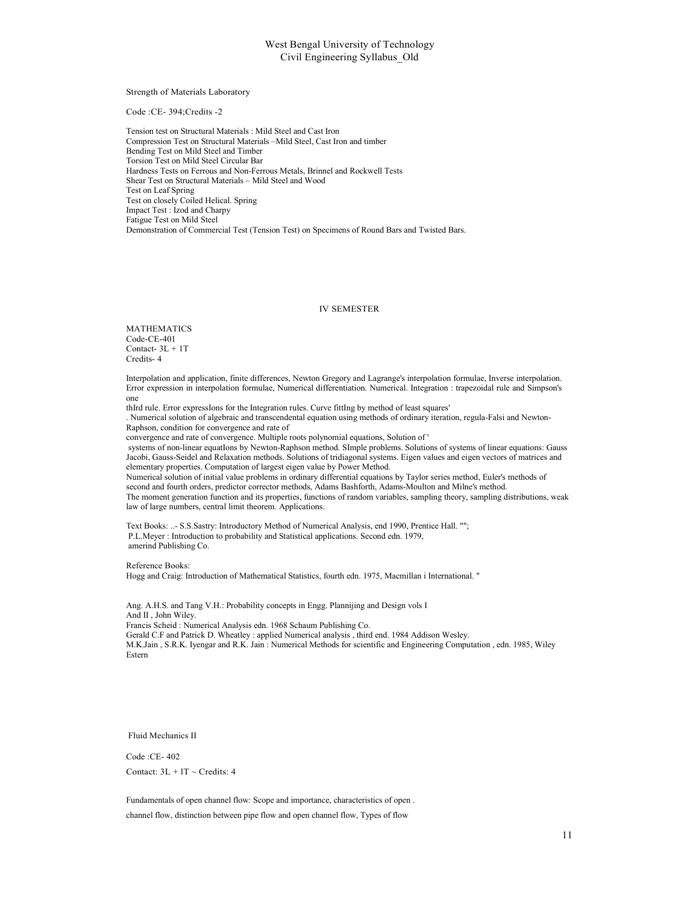Strength of Materials Laboratory

Code :CE- 394;Credits -2

Tension test on Structural Materials : Mild Steel and Cast Iron Compression Test on Structural Materials –Mild Steel, Cast Iron and timber Bending Test on Mild Steel and Timber Torsion Test on Mild Steel Circular Bar Hardness Tests on Ferrous and Non-Ferrous Metals, Brinnel and Rockwell Tests Shear Test on Structural Materials – Mild Steel and Wood Test on Leaf Spring Test on closely Coiled Helical. Spring Impact Test : Izod and Charpy Fatigue Test on Mild Steel Demonstration of Commercial Test (Tension Test) on Specimens of Round Bars and Twisted Bars.

#### IV SEMESTER

MATHEMATICS Code-CE-401 Contact- 3L + 1T Credits- 4

Interpolation and application, finite differences, Newton Gregory and Lagrange's interpolation formulae, Inverse interpolation. Error expression in interpolation formulae, Numerical differentiation. Numerical. Integration : trapezoidal rule and Simpson's one

thIrd rule. Error expressIons for the Integration rules. Curve fittIng by method of least squares'

. Numerical solution of algebraic and transcendental equation using methods of ordinary iteration, regula-Falsi and Newton-Raphson, condition for convergence and rate of

convergence and rate of convergence. Multiple roots polynomial equations, Solution of '

systems of non-linear equatIons by Newton-Raphson method. SImple problems. Solutions of systems of linear equations: Gauss Jacobi, Gauss-Seidel and Relaxation methods. Solutions of tridiagonal systems. Eigen values and eigen vectors of matrices and elementary properties. Computation of largest eigen value by Power Method.

Numerical solution of initial value problems in ordinary differential equations by Taylor series method, Euler's methods of second and fourth orders, predictor corrector methods, Adams Bashforth, Adams-Moulton and Milne's method.

The moment generation function and its properties, functions of random variables, sampling theory, sampling distributions, weak law of large numbers, central limit theorem. Applications.

Text Books: ..- S.S.Sastry: Introductory Method of Numerical Analysis, end 1990, Prentice Hall. ""; P.L.Meyer : Introduction to probability and Statistical applications. Second edn. 1979, amerind Publishing Co.

Reference Books:

Hogg and Craig: Introduction of Mathematical Statistics, fourth edn. 1975, Macmillan i International. "

Ang. A.H.S. and Tang V.H.: Probability concepts in Engg. Plannijing and Design vols I And II , John Wiley. Francis Scheid : Numerical Analysis edn. 1968 Schaum Publishing Co. Gerald C.F and Patrick D. Wheatley : applied Numerical analysis , third end. 1984 Addison Wesley. M.K.Jain , S.R.K. Iyengar and R.K. Jain : Numerical Methods for scientific and Engineering Computation , edn. 1985, Wiley Estern

Fluid Mechanics II

Code :CE- 402 Contact:  $3L + IT \sim C$ redits: 4

Fundamentals of open channel flow: Scope and importance, characteristics of open .

channel flow, distinction between pipe flow and open channel flow, Types of flow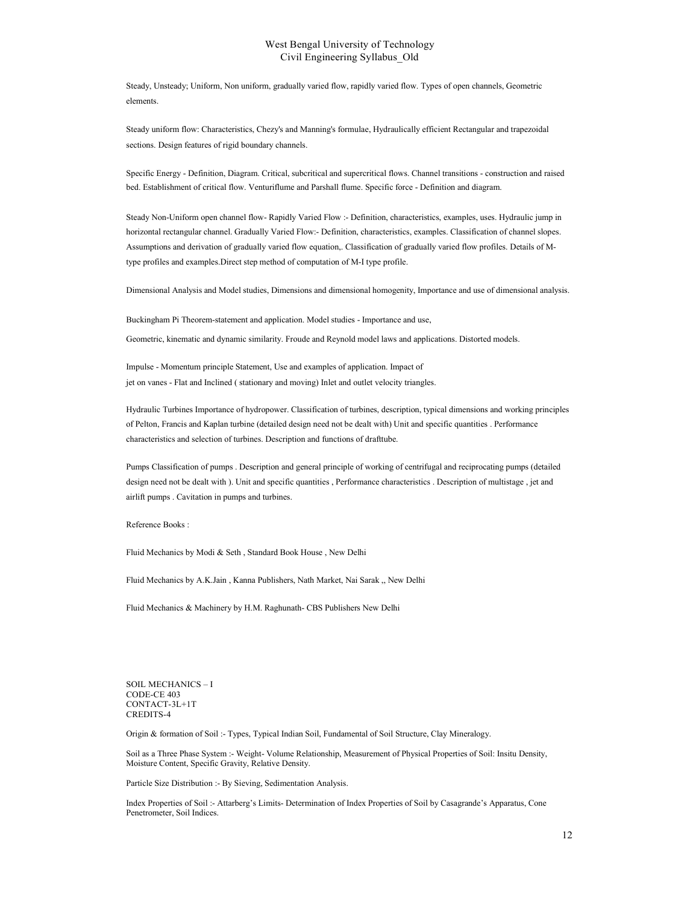Steady, Unsteady; Uniform, Non uniform, gradually varied flow, rapidly varied flow. Types of open channels, Geometric elements.

Steady uniform flow: Characteristics, Chezy's and Manning's formulae, Hydraulically efficient Rectangular and trapezoidal sections. Design features of rigid boundary channels.

Specific Energy - Definition, Diagram. Critical, subcritical and supercritical flows. Channel transitions - construction and raised bed. Establishment of critical flow. Venturiflume and Parshall flume. Specific force - Definition and diagram.

Steady Non-Uniform open channel flow- Rapidly Varied Flow :- Definition, characteristics, examples, uses. Hydraulic jump in horizontal rectangular channel. Gradually Varied Flow:- Definition, characteristics, examples. Classification of channel slopes. Assumptions and derivation of gradually varied flow equation,. Classification of gradually varied flow profiles. Details of Mtype profiles and examples.Direct step method of computation of M-I type profile.

Dimensional Analysis and Model studies, Dimensions and dimensional homogenity, Importance and use of dimensional analysis.

Buckingham Pi Theorem-statement and application. Model studies - Importance and use,

Geometric, kinematic and dynamic similarity. Froude and Reynold model laws and applications. Distorted models.

Impulse - Momentum principle Statement, Use and examples of application. Impact of jet on vanes - Flat and Inclined ( stationary and moving) Inlet and outlet velocity triangles.

Hydraulic Turbines Importance of hydropower. Classification of turbines, description, typical dimensions and working principles of Pelton, Francis and Kaplan turbine (detailed design need not be dealt with) Unit and specific quantities . Performance characteristics and selection of turbines. Description and functions of drafttube.

Pumps Classification of pumps . Description and general principle of working of centrifugal and reciprocating pumps (detailed design need not be dealt with ). Unit and specific quantities , Performance characteristics . Description of multistage , jet and airlift pumps . Cavitation in pumps and turbines.

Reference Books :

Fluid Mechanics by Modi & Seth , Standard Book House , New Delhi

Fluid Mechanics by A.K.Jain , Kanna Publishers, Nath Market, Nai Sarak ,, New Delhi

Fluid Mechanics & Machinery by H.M. Raghunath- CBS Publishers New Delhi

SOIL MECHANICS – I CODE-CE 403 CONTACT-3L+1T CREDITS-4

Origin & formation of Soil :- Types, Typical Indian Soil, Fundamental of Soil Structure, Clay Mineralogy.

Soil as a Three Phase System :- Weight- Volume Relationship, Measurement of Physical Properties of Soil: Insitu Density, Moisture Content, Specific Gravity, Relative Density.

Particle Size Distribution :- By Sieving, Sedimentation Analysis.

Index Properties of Soil :- Attarberg's Limits- Determination of Index Properties of Soil by Casagrande's Apparatus, Cone Penetrometer, Soil Indices.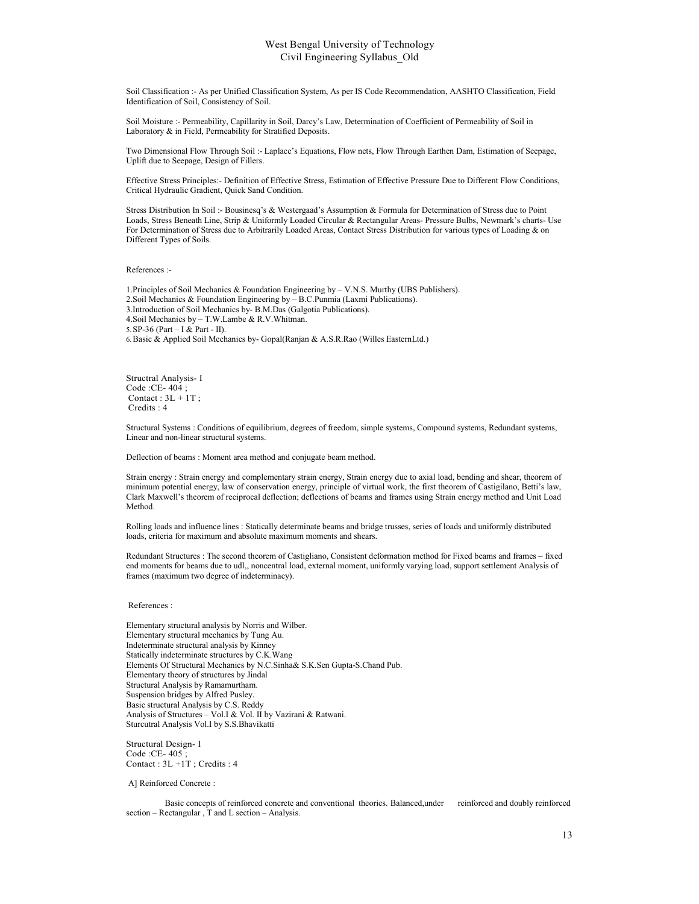Soil Classification :- As per Unified Classification System, As per IS Code Recommendation, AASHTO Classification, Field Identification of Soil, Consistency of Soil.

Soil Moisture :- Permeability, Capillarity in Soil, Darcy's Law, Determination of Coefficient of Permeability of Soil in Laboratory & in Field, Permeability for Stratified Deposits.

Two Dimensional Flow Through Soil :- Laplace's Equations, Flow nets, Flow Through Earthen Dam, Estimation of Seepage, Uplift due to Seepage, Design of Fillers.

Effective Stress Principles:- Definition of Effective Stress, Estimation of Effective Pressure Due to Different Flow Conditions, Critical Hydraulic Gradient, Quick Sand Condition.

Stress Distribution In Soil :- Bousinesq's & Westergaad's Assumption & Formula for Determination of Stress due to Point Loads, Stress Beneath Line, Strip & Uniformly Loaded Circular & Rectangular Areas- Pressure Bulbs, Newmark's charts- Use For Determination of Stress due to Arbitrarily Loaded Areas, Contact Stress Distribution for various types of Loading & on Different Types of Soils.

References :-

1.Principles of Soil Mechanics & Foundation Engineering by – V.N.S. Murthy (UBS Publishers). 2.Soil Mechanics & Foundation Engineering by – B.C.Punmia (Laxmi Publications). 3.Introduction of Soil Mechanics by- B.M.Das (Galgotia Publications). 4.Soil Mechanics by – T.W.Lambe & R.V.Whitman. 5.SP-36 (Part – I & Part - II). 6.Basic & Applied Soil Mechanics by- Gopal(Ranjan & A.S.R.Rao (Willes EasternLtd.)

Structral Analysis- I Code :CE- 404 ; Contact :  $3L + 1T$ ; Credits : 4

Structural Systems : Conditions of equilibrium, degrees of freedom, simple systems, Compound systems, Redundant systems, Linear and non-linear structural systems.

Deflection of beams : Moment area method and conjugate beam method.

Strain energy : Strain energy and complementary strain energy, Strain energy due to axial load, bending and shear, theorem of minimum potential energy, law of conservation energy, principle of virtual work, the first theorem of Castigilano, Betti's law, Clark Maxwell's theorem of reciprocal deflection; deflections of beams and frames using Strain energy method and Unit Load Method.

Rolling loads and influence lines : Statically determinate beams and bridge trusses, series of loads and uniformly distributed loads, criteria for maximum and absolute maximum moments and shears.

Redundant Structures : The second theorem of Castigliano, Consistent deformation method for Fixed beams and frames – fixed end moments for beams due to udl,, noncentral load, external moment, uniformly varying load, support settlement Analysis of frames (maximum two degree of indeterminacy).

#### References :

Elementary structural analysis by Norris and Wilber. Elementary structural mechanics by Tung Au. Indeterminate structural analysis by Kinney Statically indeterminate structures by C.K.Wang Elements Of Structural Mechanics by N.C.Sinha& S.K.Sen Gupta-S.Chand Pub. Elementary theory of structures by Jindal Structural Analysis by Ramamurtham. Suspension bridges by Alfred Pusley. Basic structural Analysis by C.S. Reddy Analysis of Structures – Vol.I & Vol. II by Vazirani & Ratwani. Sturcutral Analysis Vol.I by S.S.Bhavikatti

Structural Design- I Code :CE- 405 ; Contact : 3L +1T ; Credits : 4

A] Reinforced Concrete :

Basic concepts of reinforced concrete and conventional theories. Balanced,under reinforced and doubly reinforced section – Rectangular , T and L section – Analysis.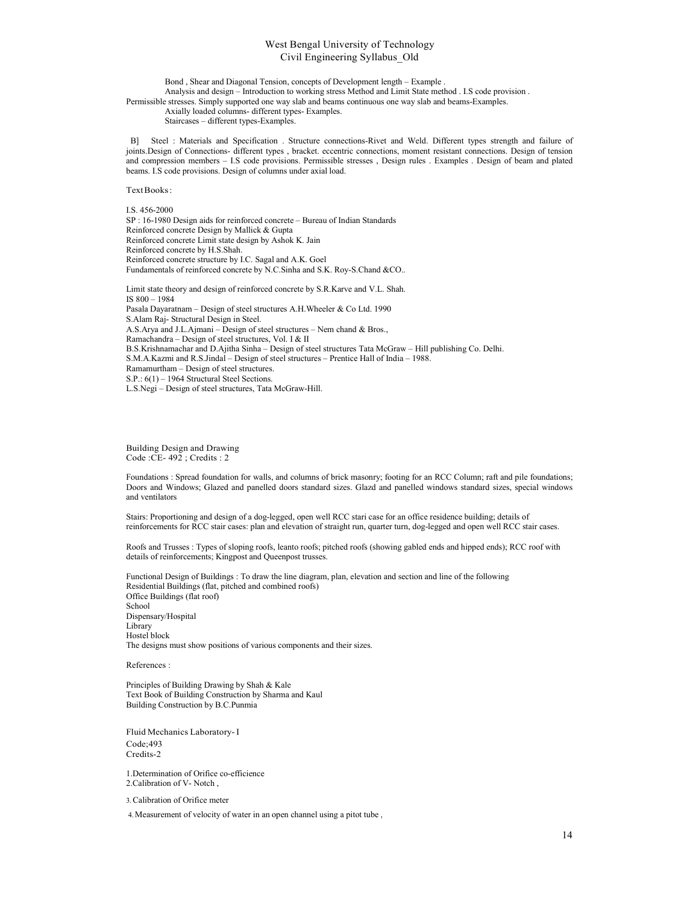Bond , Shear and Diagonal Tension, concepts of Development length – Example .

Analysis and design – Introduction to working stress Method and Limit State method . I.S code provision . Permissible stresses. Simply supported one way slab and beams continuous one way slab and beams-Examples.

Axially loaded columns- different types- Examples.

Staircases – different types-Examples.

B] Steel : Materials and Specification . Structure connections-Rivet and Weld. Different types strength and failure of joints.Design of Connections- different types , bracket. eccentric connections, moment resistant connections. Design of tension and compression members – I.S code provisions. Permissible stresses , Design rules . Examples . Design of beam and plated beams. I.S code provisions. Design of columns under axial load.

Text Books :

I.S. 456-2000 SP : 16-1980 Design aids for reinforced concrete – Bureau of Indian Standards Reinforced concrete Design by Mallick & Gupta Reinforced concrete Limit state design by Ashok K. Jain Reinforced concrete by H.S.Shah. Reinforced concrete structure by I.C. Sagal and A.K. Goel Fundamentals of reinforced concrete by N.C.Sinha and S.K. Roy-S.Chand &CO.. Limit state theory and design of reinforced concrete by S.R.Karve and V.L. Shah. IS 800 – 1984 Pasala Dayaratnam – Design of steel structures A.H.Wheeler & Co Ltd. 1990 S.Alam Raj- Structural Design in Steel. A.S.Arya and J.L.Ajmani – Design of steel structures – Nem chand & Bros., Ramachandra – Design of steel structures, Vol. I & II B.S.Krishnamachar and D.Ajitha Sinha – Design of steel structures Tata McGraw – Hill publishing Co. Delhi. S.M.A.Kazmi and R.S.Jindal – Design of steel structures – Prentice Hall of India – 1988. Ramamurtham – Design of steel structures. S.P.: 6(1) – 1964 Structural Steel Sections. L.S.Negi – Design of steel structures, Tata McGraw-Hill.

Building Design and Drawing Code :CE- 492 ; Credits : 2

Foundations : Spread foundation for walls, and columns of brick masonry; footing for an RCC Column; raft and pile foundations; Doors and Windows; Glazed and panelled doors standard sizes. Glazd and panelled windows standard sizes, special windows and ventilators

Stairs: Proportioning and design of a dog-legged, open well RCC stari case for an office residence building; details of reinforcements for RCC stair cases: plan and elevation of straight run, quarter turn, dog-legged and open well RCC stair cases.

Roofs and Trusses : Types of sloping roofs, leanto roofs; pitched roofs (showing gabled ends and hipped ends); RCC roof with details of reinforcements; Kingpost and Queenpost trusses.

Functional Design of Buildings : To draw the line diagram, plan, elevation and section and line of the following Residential Buildings (flat, pitched and combined roofs) Office Buildings (flat roof) School Dispensary/Hospital Library Hostel block The designs must show positions of various components and their sizes.

References :

Principles of Building Drawing by Shah & Kale Text Book of Building Construction by Sharma and Kaul Building Construction by B.C.Punmia

Fluid Mechanics Laboratory- I Code;493 Credits-2

1.Determination of Orifice co-efficience 2.Calibration of V- Notch ,

3.Calibration of Orifice meter

4.Measurement of velocity of water in an open channel using a pitot tube ,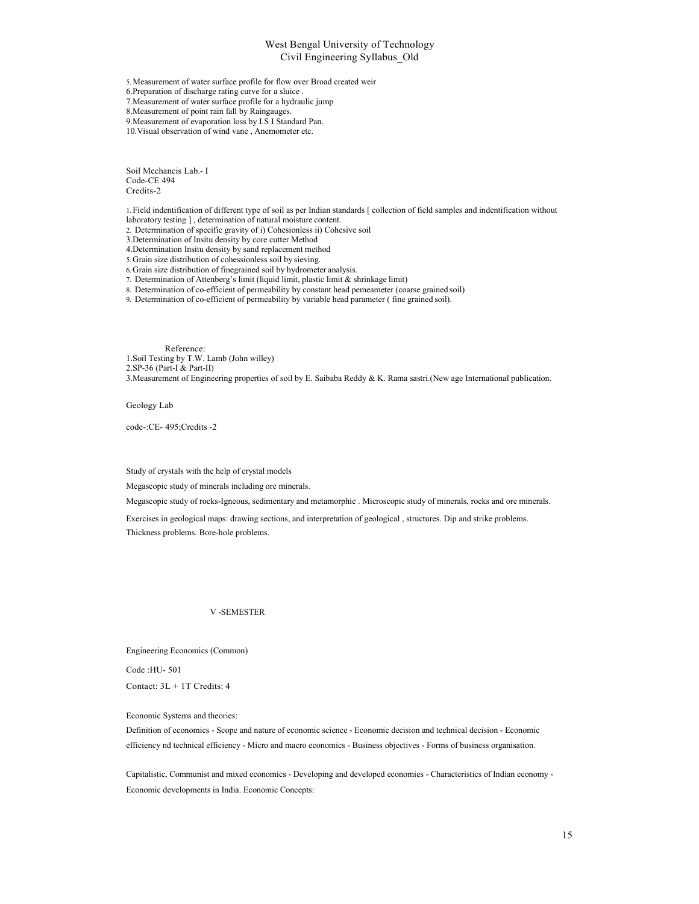5. Measurement of water surface profile for flow over Broad created weir

6.Preparation of discharge rating curve for a sluice .

7.Measurement of water surface profile for a hydraulic jump

8.Measurement of point rain fall by Raingauges.

9.Measurement of evaporation loss by I.S I Standard Pan.

10.Visual observation of wind vane , Anemometer etc.

Soil Mechancis Lab.- I Code-CE 494 Credits-2

1.Field indentification of different type of soil as per Indian standards [ collection of field samples and indentification without laboratory testing ] , determination of natural moisture content.

2. Determination of specific gravity of i) Cohesionless ii) Cohesive soil

3.Determination of Insitu density by core cutter Method

4.Determination Insitu density by sand replacement method

5.Grain size distribution of cohessionless soil by sieving.

6.Grain size distribution of finegrained soil by hydrometer analysis.

7. Determination of Attenberg's limit (liquid limit, plastic limit & shrinkage limit)

8. Determination of co-efficient of permeability by constant head pemeameter (coarse grained soil)

9. Determination of co-efficient of permeability by variable head parameter ( fine grained soil).

Reference: 1.Soil Testing by T.W. Lamb (John willey) 2.SP-36 (Part-I & Part-II) 3.Measurement of Engineering properties of soil by E. Saibaba Reddy & K. Rama sastri.(New age International publication.

Geology Lab

code-:CE- 495;Credits -2

Study of crystals with the help of crystal models

Megascopic study of minerals including ore minerals.

Megascopic study of rocks-Igneous, sedimentary and metamorphic . Microscopic study of minerals, rocks and ore minerals.

Exercises in geological maps: drawing sections, and interpretation of geological , structures. Dip and strike problems.

Thickness problems. Bore-hole problems.

#### V -SEMESTER

Engineering Economics (Common)

Code :HU- 501

Contact: 3L + 1T Credits: 4

Economic Systems and theories:

Definition of economics - Scope and nature of economic science - Economic decision and technical decision - Economic efficiency nd technical efficiency - Micro and macro economics - Business objectives - Forms of business organisation.

Capitalistic, Communist and mixed economics - Developing and developed economies - Characteristics of Indian economy - Economic developments in India. Economic Concepts: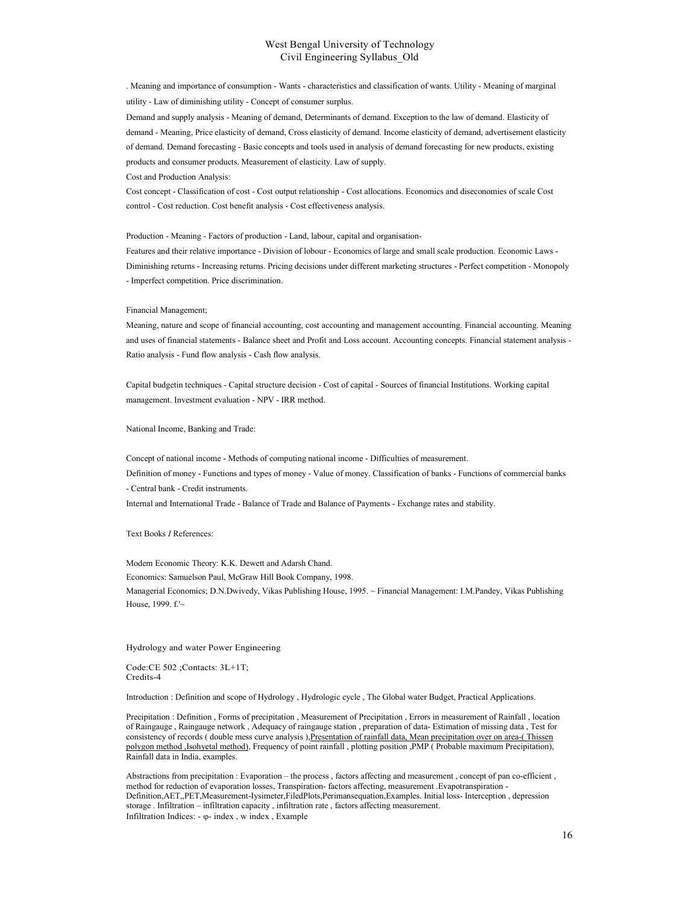. Meaning and importance of consumption - Wants - characteristics and classification of wants. Utility - Meaning of marginal utility - Law of diminishing utility - Concept of consumer surplus.

Demand and supply analysis - Meaning of demand, Determinants of demand. Exception to the law of demand. Elasticity of demand - Meaning, Price elasticity of demand, Cross elasticity of demand. Income elasticity of demand, advertisement elasticity of demand. Demand forecasting - Basic concepts and tools used in analysis of demand forecasting for new products, existing products and consumer products. Measurement of elasticity. Law of supply.

Cost and Production Analysis:

Cost concept - Classification of cost - Cost output relationship - Cost allocations. Economics and diseconomies of scale Cost control - Cost reduction. Cost benefit analysis - Cost effectiveness analysis.

Production - Meaning - Factors of production - Land, labour, capital and organisation-

Features and their relative importance - Division of lobour - Economics of large and small scale production. Economic Laws - Diminishing returns - Increasing returns. Pricing decisions under different marketing structures - Perfect competition - Monopoly - Imperfect competition. Price discrimination.

#### Financial Management;

Meaning, nature and scope of financial accounting, cost accounting and management accounting. Financial accounting. Meaning and uses of financial statements - Balance sheet and Profit and Loss account. Accounting concepts. Financial statement analysis - Ratio analysis - Fund flow analysis - Cash flow analysis.

Capital budgetin techniques - Capital structure decision - Cost of capital - Sources of financial Institutions. Working capital management. Investment evaluation - NPV - IRR method.

National Income, Banking and Trade:

Concept of national income - Methods of computing national income - Difficulties of measurement. Definition of money - Functions and types of money - Value of money. Classification of banks - Functions of commercial banks - Central bank - Credit instruments.

Internal and International Trade - Balance of Trade and Balance of Payments - Exchange rates and stability.

Text Books I References:

Modem Economic Theory: K.K. Dewett and Adarsh Chand. Economics: Samuelson Paul, McGraw Hill Book Company, 1998.

Managerial Economics; D.N.Dwivedy, Vikas Publishing House, 1995. ~ Financial Management: I.M.Pandey, Vikas Publishing House, 1999. f.'~

Hydrology and water Power Engineering

Code:CE 502 ;Contacts: 3L+1T; Credits-4

Introduction : Definition and scope of Hydrology , Hydrologic cycle , The Global water Budget, Practical Applications.

Precipitation : Definition , Forms of precipitation , Measurement of Precipitation , Errors in measurement of Rainfall , location of Raingauge , Raingauge network , Adequacy of raingauge station , preparation of data- Estimation of missing data , Test for consistency of records ( double mess curve analysis ),Presentation of rainfall data, Mean precipitation over on area-( Thissen polygon method, Isohyetal method), Frequency of point rainfall , plotting position ,PMP (Probable maximum Precipitation), Rainfall data in India, examples.

Abstractions from precipitation : Evaporation – the process , factors affecting and measurement , concept of pan co-efficient , method for reduction of evaporation losses, Transpiration- factors affecting, measurement .Evapotranspiration - Definition,AET,,PET,Measurement-Iysimeter,FiledPlots,Perimansequation,Examples. Initial loss- Interception , depression storage . Infiltration – infiltration capacity , infiltration rate , factors affecting measurement. Infiltration Indices:  $-\varphi$ - index, w index, Example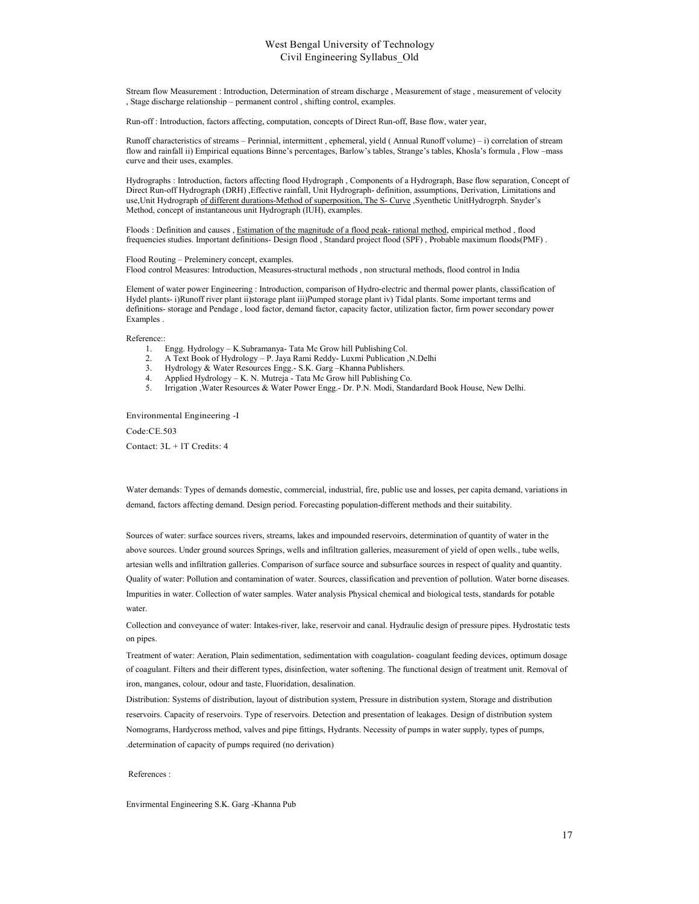Stream flow Measurement : Introduction, Determination of stream discharge , Measurement of stage , measurement of velocity , Stage discharge relationship – permanent control , shifting control, examples.

Run-off : Introduction, factors affecting, computation, concepts of Direct Run-off, Base flow, water year,

Runoff characteristics of streams – Perinnial, intermittent , ephemeral, yield ( Annual Runoff volume) – i) correlation of stream flow and rainfall ii) Empirical equations Binne's percentages, Barlow's tables, Strange's tables, Khosla's formula , Flow –mass curve and their uses, examples.

Hydrographs : Introduction, factors affecting flood Hydrograph , Components of a Hydrograph, Base flow separation, Concept of Direct Run-off Hydrograph (DRH) ,Effective rainfall, Unit Hydrograph- definition, assumptions, Derivation, Limitations and use,Unit Hydrograph of different durations-Method of superposition, The S- Curve ,Syenthetic UnitHydrogrph. Snyder's Method, concept of instantaneous unit Hydrograph (IUH), examples.

Floods : Definition and causes , Estimation of the magnitude of a flood peak- rational method, empirical method , flood frequencies studies. Important definitions- Design flood , Standard project flood (SPF) , Probable maximum floods(PMF) .

Flood Routing – Preleminery concept, examples. Flood control Measures: Introduction, Measures-structural methods , non structural methods, flood control in India

Element of water power Engineering : Introduction, comparison of Hydro-electric and thermal power plants, classification of Hydel plants- i)Runoff river plant ii)storage plant iii)Pumped storage plant iv) Tidal plants. Some important terms and definitions- storage and Pendage , lood factor, demand factor, capacity factor, utilization factor, firm power secondary power Examples .

Reference::

- 1. Engg. Hydrology K.Subramanya- Tata Mc Grow hill Publishing Col.
- 2. A Text Book of Hydrology P. Jaya Rami Reddy- Luxmi Publication ,N.Delhi
- 3. Hydrology & Water Resources Engg.- S.K. Garg –Khanna Publishers.
- 4. Applied Hydrology K. N. Mutreja Tata Mc Grow hill Publishing Co.
- 5. Irrigation ,Water Resources & Water Power Engg.- Dr. P.N. Modi, Standardard Book House, New Delhi.

Environmental Engineering -I

Code:CE.503

Contact: 3L + lT Credits: 4

Water demands: Types of demands domestic, commercial, industrial, fire, public use and losses, per capita demand, variations in demand, factors affecting demand. Design period. Forecasting population-different methods and their suitability.

Sources of water: surface sources rivers, streams, lakes and impounded reservoirs, determination of quantity of water in the above sources. Under ground sources Springs, wells and infiltration galleries, measurement of yield of open wells., tube wells, artesian wells and infiltration galleries. Comparison of surface source and subsurface sources in respect of quality and quantity. Quality of water: Pollution and contamination of water. Sources, classification and prevention of pollution. Water borne diseases. Impurities in water. Collection of water samples. Water analysis Physical chemical and biological tests, standards for potable water.

Collection and conveyance of water: Intakes-river, lake, reservoir and canal. Hydraulic design of pressure pipes. Hydrostatic tests on pipes.

Treatment of water: Aeration, Plain sedimentation, sedimentation with coagulation- coagulant feeding devices, optimum dosage of coagulant. Filters and their different types, disinfection, water softening. The functional design of treatment unit. Removal of iron, manganes, colour, odour and taste, Fluoridation, desalination.

Distribution: Systems of distribution, layout of distribution system, Pressure in distribution system, Storage and distribution reservoirs. Capacity of reservoirs. Type of reservoirs. Detection and presentation of leakages. Design of distribution system Nomograms, Hardycross method, valves and pipe fittings, Hydrants. Necessity of pumps in water supply, types of pumps, .determination of capacity of pumps required (no derivation)

References :

Envirmental Engineering S.K. Garg -Khanna Pub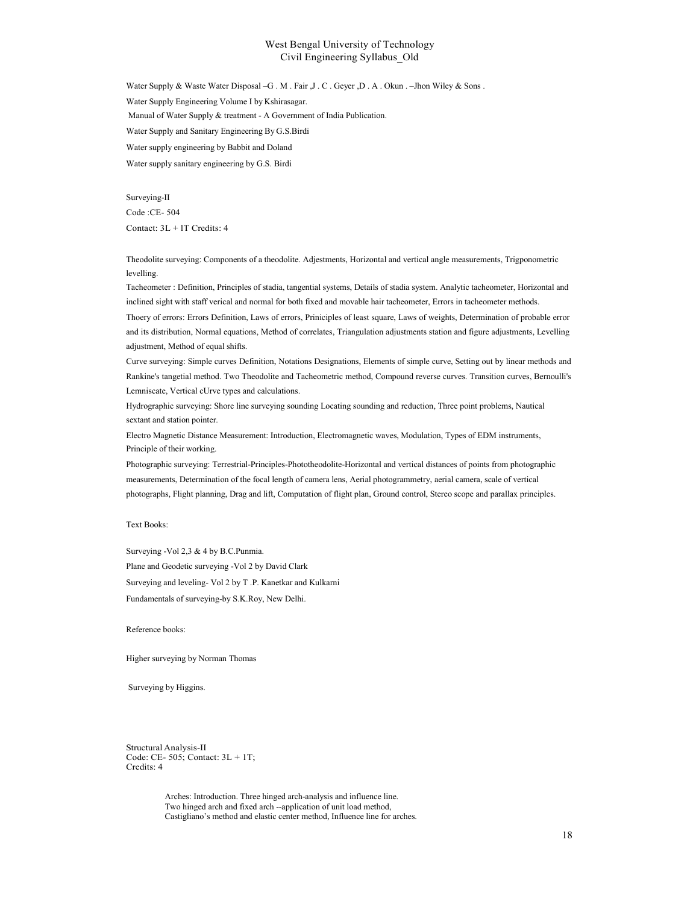Water Supply & Waste Water Disposal –G . M . Fair ,J . C . Geyer ,D . A . Okun . –Jhon Wiley & Sons . Water Supply Engineering Volume I by Kshirasagar. Manual of Water Supply & treatment - A Government of India Publication. Water Supply and Sanitary Engineering By G.S.Birdi Water supply engineering by Babbit and Doland Water supply sanitary engineering by G.S. Birdi

Surveying-II Code :CE- 504 Contact: 3L + lT Credits: 4

Theodolite surveying: Components of a theodolite. Adjestments, Horizontal and vertical angle measurements, Trigponometric levelling.

Tacheometer : Definition, Principles of stadia, tangential systems, Details of stadia system. Analytic tacheometer, Horizontal and inclined sight with staff verical and normal for both fixed and movable hair tacheometer, Errors in tacheometer methods.

Thoery of errors: Errors Definition, Laws of errors, Priniciples of least square, Laws of weights, Determination of probable error and its distribution, Normal equations, Method of correlates, Triangulation adjustments station and figure adjustments, Levelling adjustment, Method of equal shifts.

Curve surveying: Simple curves Definition, Notations Designations, Elements of simple curve, Setting out by linear methods and Rankine's tangetial method. Two Theodolite and Tacheometric method, Compound reverse curves. Transition curves, Bernoulli's Lemniscate, Vertical cUrve types and calculations.

Hydrographic surveying: Shore line surveying sounding Locating sounding and reduction, Three point problems, Nautical sextant and station pointer.

Electro Magnetic Distance Measurement: Introduction, Electromagnetic waves, Modulation, Types of EDM instruments, Principle of their working.

Photographic surveying: Terrestrial-Principles-Phototheodolite-Horizontal and vertical distances of points from photographic measurements, Determination of the focal length of camera lens, Aerial photogrammetry, aerial camera, scale of vertical photographs, Flight planning, Drag and lift, Computation of flight plan, Ground control, Stereo scope and parallax principles.

## Text Books:

Surveying -Vol 2,3 & 4 by B.C.Punmia. Plane and Geodetic surveying -Vol 2 by David Clark Surveying and leveling- Vol 2 by T .P. Kanetkar and Kulkarni Fundamentals of surveying-by S.K.Roy, New Delhi.

Reference books:

Higher surveying by Norman Thomas

Surveying by Higgins.

Structural Analysis-II Code: CE- 505; Contact: 3L + 1T; Credits: 4

> Arches: Introduction. Three hinged arch-analysis and influence line. Two hinged arch and fixed arch --application of unit load method, Castigliano's method and elastic center method, Influence line for arches.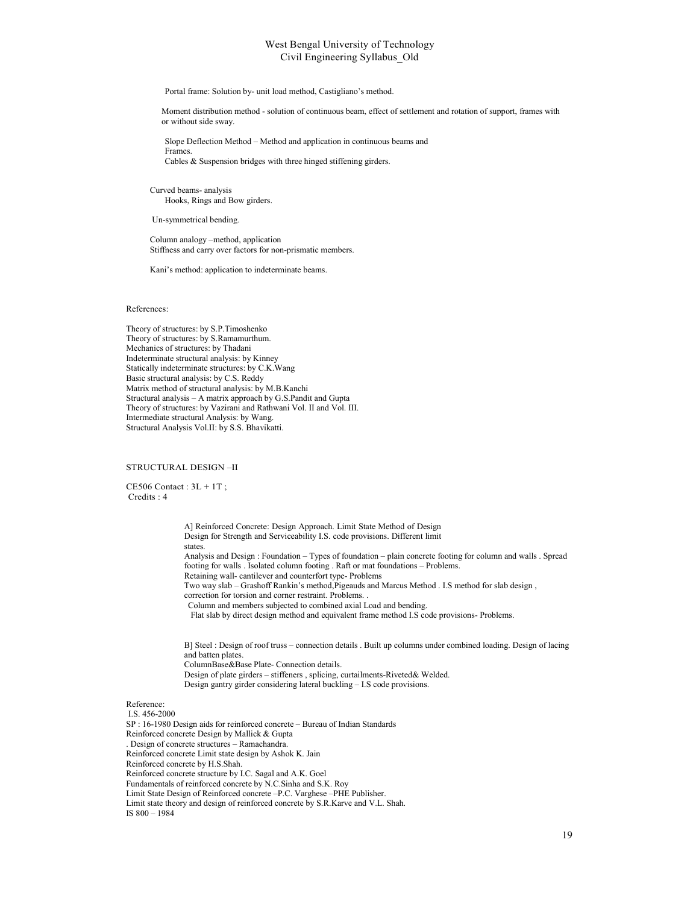Portal frame: Solution by- unit load method, Castigliano's method.

Moment distribution method - solution of continuous beam, effect of settlement and rotation of support, frames with or without side sway.

Slope Deflection Method – Method and application in continuous beams and Frames. Cables & Suspension bridges with three hinged stiffening girders.

Curved beams- analysis Hooks, Rings and Bow girders.

Un-symmetrical bending.

Column analogy –method, application Stiffness and carry over factors for non-prismatic members.

Kani's method: application to indeterminate beams.

#### References:

Theory of structures: by S.P.Timoshenko Theory of structures: by S.Ramamurthum. Mechanics of structures: by Thadani Indeterminate structural analysis: by Kinney Statically indeterminate structures: by C.K.Wang Basic structural analysis: by C.S. Reddy Matrix method of structural analysis: by M.B.Kanchi Structural analysis – A matrix approach by G.S.Pandit and Gupta Theory of structures: by Vazirani and Rathwani Vol. II and Vol. III. Intermediate structural Analysis: by Wang. Structural Analysis Vol.II: by S.S. Bhavikatti.

#### STRUCTURAL DESIGN –II

 $CE506$  Contact :  $3L + 1T$ ; Credits : 4

> A] Reinforced Concrete: Design Approach. Limit State Method of Design Design for Strength and Serviceability I.S. code provisions. Different limit states. Analysis and Design : Foundation – Types of foundation – plain concrete footing for column and walls . Spread footing for walls . Isolated column footing . Raft or mat foundations – Problems. Retaining wall- cantilever and counterfort type- Problems Two way slab – Grashoff Rankin's method,Pigeauds and Marcus Method . I.S method for slab design , correction for torsion and corner restraint. Problems. . Column and members subjected to combined axial Load and bending. Flat slab by direct design method and equivalent frame method I.S code provisions- Problems. B] Steel : Design of roof truss – connection details . Built up columns under combined loading. Design of lacing and batten plates. ColumnBase&Base Plate- Connection details. Design of plate girders – stiffeners , splicing, curtailments-Riveted& Welded. Design gantry girder considering lateral buckling – I.S code provisions.

Reference:

I.S. 456-2000 SP : 16-1980 Design aids for reinforced concrete – Bureau of Indian Standards Reinforced concrete Design by Mallick & Gupta . Design of concrete structures – Ramachandra. Reinforced concrete Limit state design by Ashok K. Jain Reinforced concrete by H.S.Shah. Reinforced concrete structure by I.C. Sagal and A.K. Goel Fundamentals of reinforced concrete by N.C.Sinha and S.K. Roy Limit State Design of Reinforced concrete –P.C. Varghese –PHE Publisher. Limit state theory and design of reinforced concrete by S.R.Karve and V.L. Shah. IS 800 – 1984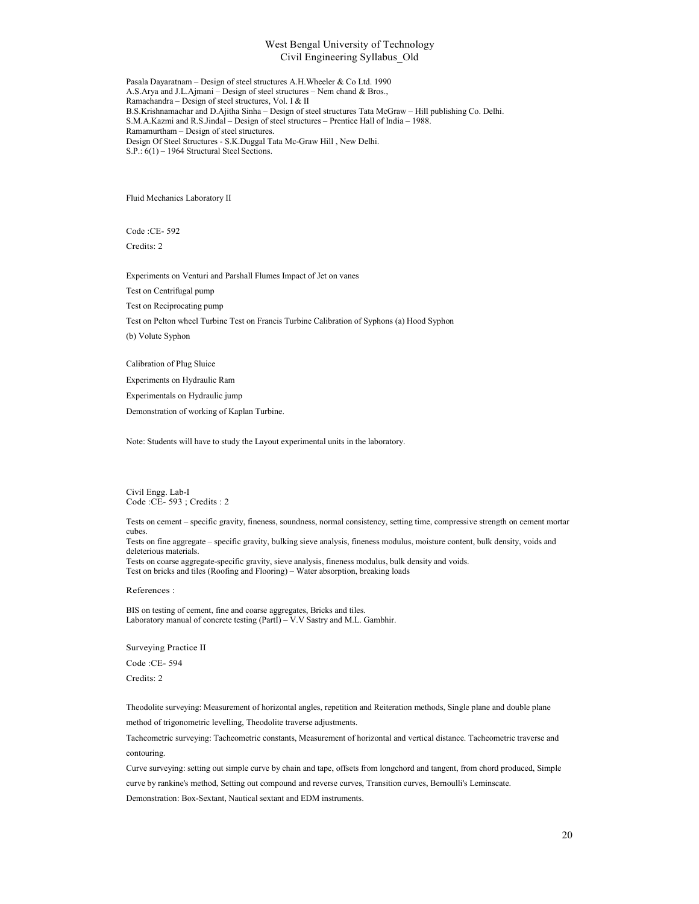Pasala Dayaratnam – Design of steel structures A.H.Wheeler & Co Ltd. 1990 A.S.Arya and J.L.Ajmani – Design of steel structures – Nem chand & Bros., Ramachandra – Design of steel structures, Vol. I & II B.S.Krishnamachar and D.Ajitha Sinha – Design of steel structures Tata McGraw – Hill publishing Co. Delhi. S.M.A.Kazmi and R.S.Jindal – Design of steel structures – Prentice Hall of India – 1988. Ramamurtham – Design of steel structures. Design Of Steel Structures - S.K.Duggal Tata Mc-Graw Hill , New Delhi. S.P.: 6(1) – 1964 Structural Steel Sections.

Fluid Mechanics Laboratory II

Code :CE- 592 Credits: 2

Experiments on Venturi and Parshall Flumes Impact of Jet on vanes

Test on Centrifugal pump

Test on Reciprocating pump

Test on Pelton wheel Turbine Test on Francis Turbine Calibration of Syphons (a) Hood Syphon (b) Volute Syphon

Calibration of Plug Sluice

Experiments on Hydraulic Ram

Experimentals on Hydraulic jump

Demonstration of working of Kaplan Turbine.

Note: Students will have to study the Layout experimental units in the laboratory.

Civil Engg. Lab-I Code :CE- 593 ; Credits : 2

Tests on cement – specific gravity, fineness, soundness, normal consistency, setting time, compressive strength on cement mortar cubes. Tests on fine aggregate – specific gravity, bulking sieve analysis, fineness modulus, moisture content, bulk density, voids and deleterious materials. Tests on coarse aggregate-specific gravity, sieve analysis, fineness modulus, bulk density and voids.

Test on bricks and tiles (Roofing and Flooring) – Water absorption, breaking loads

References :

BIS on testing of cement, fine and coarse aggregates, Bricks and tiles. Laboratory manual of concrete testing (PartI) – V.V Sastry and M.L. Gambhir.

Surveying Practice II

Code :CE- 594

Credits: 2

Theodolite surveying: Measurement of horizontal angles, repetition and Reiteration methods, Single plane and double plane method of trigonometric levelling, Theodolite traverse adjustments.

Tacheometric surveying: Tacheometric constants, Measurement of horizontal and vertical distance. Tacheometric traverse and contouring.

Curve surveying: setting out simple curve by chain and tape, offsets from longchord and tangent, from chord produced, Simple curve by rankine's method, Setting out compound and reverse curves, Transition curves, Bernoulli's Leminscate.

Demonstration: Box-Sextant, Nautical sextant and EDM instruments.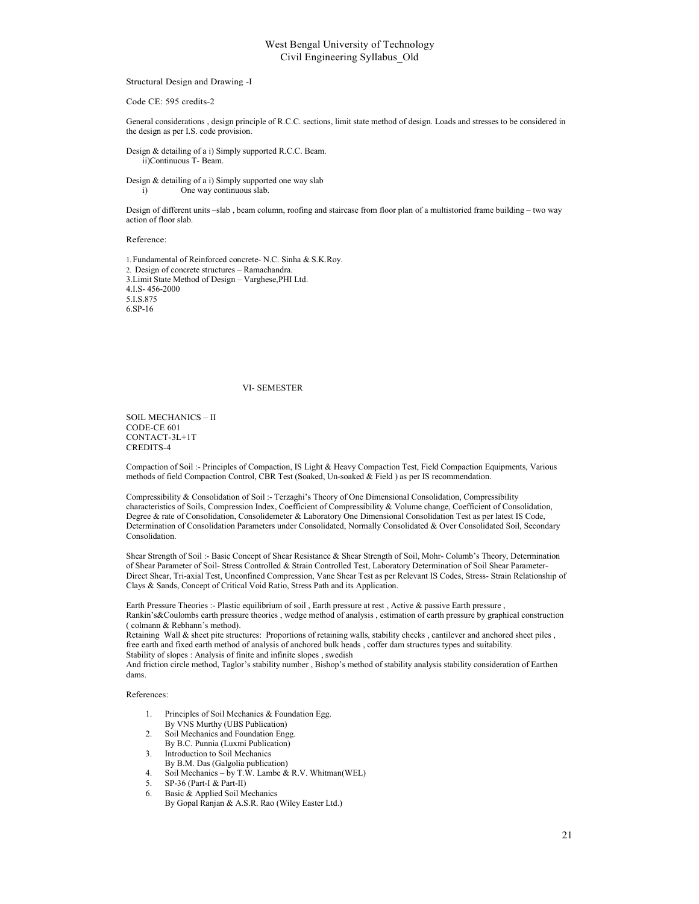#### Structural Design and Drawing -I

#### Code CE: 595 credits-2

General considerations , design principle of R.C.C. sections, limit state method of design. Loads and stresses to be considered in the design as per I.S. code provision.

#### Design & detailing of a i) Simply supported R.C.C. Beam. ii)Continuous T- Beam.

Design & detailing of a i) Simply supported one way slab i) One way continuous slab.

Design of different units –slab , beam column, roofing and staircase from floor plan of a multistoried frame building – two way action of floor slab.

Reference:

1.Fundamental of Reinforced concrete- N.C. Sinha & S.K.Roy. 2. Design of concrete structures – Ramachandra. 3.Limit State Method of Design – Varghese,PHI Ltd. 4.I.S- 456-2000 5.I.S.875 6.SP-16

#### VI- SEMESTER

SOIL MECHANICS – II CODE-CE 601 CONTACT-3L+1T CREDITS-4

Compaction of Soil :- Principles of Compaction, IS Light & Heavy Compaction Test, Field Compaction Equipments, Various methods of field Compaction Control, CBR Test (Soaked, Un-soaked & Field ) as per IS recommendation.

Compressibility & Consolidation of Soil :- Terzaghi's Theory of One Dimensional Consolidation, Compressibility characteristics of Soils, Compression Index, Coefficient of Compressibility & Volume change, Coefficient of Consolidation, Degree & rate of Consolidation, Consolidemeter & Laboratory One Dimensional Consolidation Test as per latest IS Code, Determination of Consolidation Parameters under Consolidated, Normally Consolidated & Over Consolidated Soil, Secondary Consolidation.

Shear Strength of Soil :- Basic Concept of Shear Resistance & Shear Strength of Soil, Mohr- Columb's Theory, Determination of Shear Parameter of Soil- Stress Controlled & Strain Controlled Test, Laboratory Determination of Soil Shear Parameter-Direct Shear, Tri-axial Test, Unconfined Compression, Vane Shear Test as per Relevant IS Codes, Stress- Strain Relationship of Clays & Sands, Concept of Critical Void Ratio, Stress Path and its Application.

Earth Pressure Theories :- Plastic equilibrium of soil , Earth pressure at rest , Active & passive Earth pressure , Rankin's&Coulombs earth pressure theories , wedge method of analysis , estimation of earth pressure by graphical construction ( colmann & Rebhann's method).

Retaining Wall & sheet pite structures: Proportions of retaining walls, stability checks , cantilever and anchored sheet piles , free earth and fixed earth method of analysis of anchored bulk heads , coffer dam structures types and suitability. Stability of slopes : Analysis of finite and infinite slopes , swedish

And friction circle method, Taglor's stability number , Bishop's method of stability analysis stability consideration of Earthen dams.

References:

- 1. Principles of Soil Mechanics & Foundation Egg.
- By VNS Murthy (UBS Publication)
- 2. Soil Mechanics and Foundation Engg. By B.C. Punnia (Luxmi Publication)
- 3. Introduction to Soil Mechanics
- By B.M. Das (Galgolia publication)
- 4. Soil Mechanics by T.W. Lambe & R.V. Whitman(WEL)
- 5. SP-36 (Part-I & Part-II)
- 6. Basic & Applied Soil Mechanics
- By Gopal Ranjan & A.S.R. Rao (Wiley Easter Ltd.)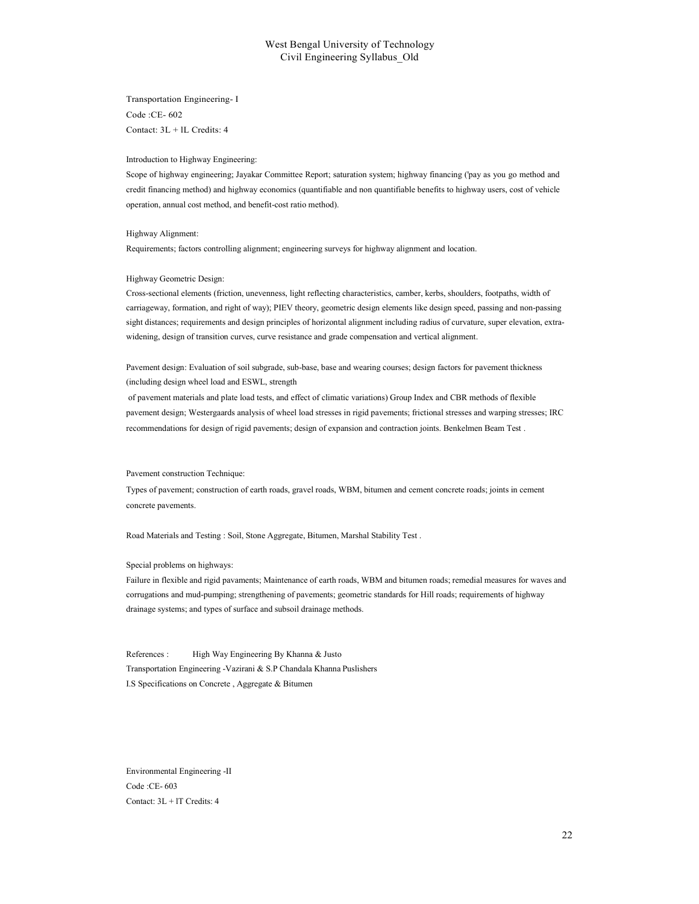Transportation Engineering- I Code :CE- 602 Contact: 3L + lL Credits: 4

Introduction to Highway Engineering:

Scope of highway engineering; Jayakar Committee Report; saturation system; highway financing ('pay as you go method and credit financing method) and highway economics (quantifiable and non quantifiable benefits to highway users, cost of vehicle operation, annual cost method, and benefit-cost ratio method).

Highway Alignment:

Requirements; factors controlling alignment; engineering surveys for highway alignment and location.

Highway Geometric Design:

Cross-sectional elements (friction, unevenness, light reflecting characteristics, camber, kerbs, shoulders, footpaths, width of carriageway, formation, and right of way); PIEV theory, geometric design elements like design speed, passing and non-passing sight distances; requirements and design principles of horizontal alignment including radius of curvature, super elevation, extrawidening, design of transition curves, curve resistance and grade compensation and vertical alignment.

Pavement design: Evaluation of soil subgrade, sub-base, base and wearing courses; design factors for pavement thickness (including design wheel load and ESWL, strength

of pavement materials and plate load tests, and effect of climatic variations) Group Index and CBR methods of flexible pavement design; Westergaards analysis of wheel load stresses in rigid pavements; frictional stresses and warping stresses; IRC recommendations for design of rigid pavements; design of expansion and contraction joints. Benkelmen Beam Test .

Pavement construction Technique:

Types of pavement; construction of earth roads, gravel roads, WBM, bitumen and cement concrete roads; joints in cement concrete pavements.

Road Materials and Testing : Soil, Stone Aggregate, Bitumen, Marshal Stability Test .

#### Special problems on highways:

Failure in flexible and rigid pavaments; Maintenance of earth roads, WBM and bitumen roads; remedial measures for waves and corrugations and mud-pumping; strengthening of pavements; geometric standards for Hill roads; requirements of highway drainage systems; and types of surface and subsoil drainage methods.

References : High Way Engineering By Khanna & Justo Transportation Engineering -Vazirani & S.P Chandala Khanna Puslishers I.S Specifications on Concrete , Aggregate & Bitumen

Environmental Engineering -II Code :CE- 603 Contact: 3L + lT Credits: 4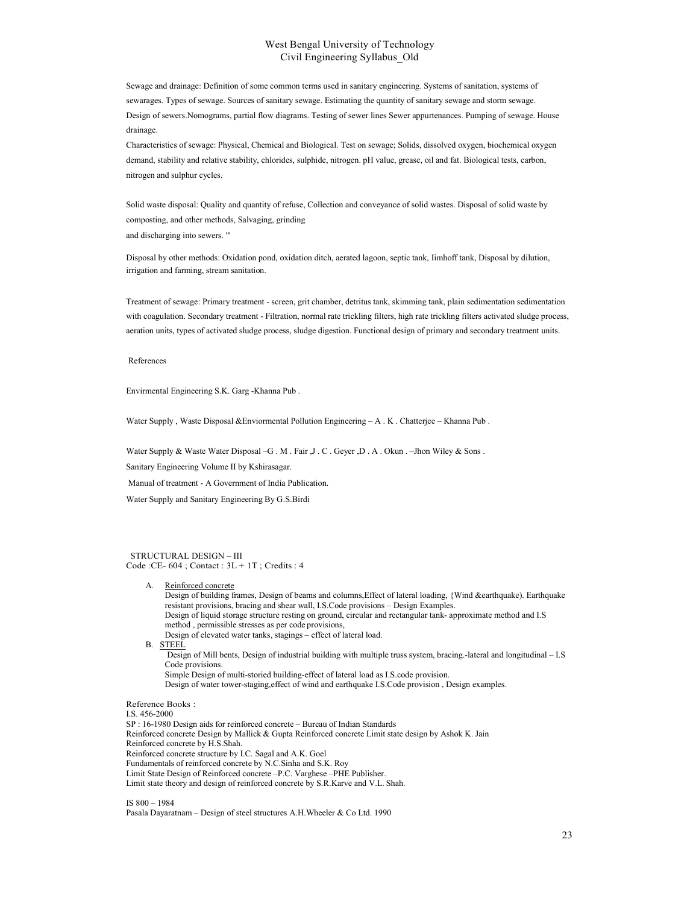Sewage and drainage: Definition of some common terms used in sanitary engineering. Systems of sanitation, systems of sewarages. Types of sewage. Sources of sanitary sewage. Estimating the quantity of sanitary sewage and storm sewage. Design of sewers.Nomograms, partial flow diagrams. Testing of sewer lines Sewer appurtenances. Pumping of sewage. House drainage.

Characteristics of sewage: Physical, Chemical and Biological. Test on sewage; Solids, dissolved oxygen, biochemical oxygen demand, stability and relative stability, chlorides, sulphide, nitrogen. pH value, grease, oil and fat. Biological tests, carbon, nitrogen and sulphur cycles.

Solid waste disposal: Quality and quantity of refuse, Collection and conveyance of solid wastes. Disposal of solid waste by composting, and other methods, Salvaging, grinding and discharging into sewers. '"

Disposal by other methods: Oxidation pond, oxidation ditch, aerated lagoon, septic tank, Iimhoff tank, Disposal by dilution, irrigation and farming, stream sanitation.

Treatment of sewage: Primary treatment - screen, grit chamber, detritus tank, skimming tank, plain sedimentation sedimentation with coagulation. Secondary treatment - Filtration, normal rate trickling filters, high rate trickling filters activated sludge process, aeration units, types of activated sludge process, sludge digestion. Functional design of primary and secondary treatment units.

References

Envirmental Engineering S.K. Garg -Khanna Pub .

Water Supply , Waste Disposal &Enviormental Pollution Engineering - A . K . Chatterjee - Khanna Pub .

Water Supply & Waste Water Disposal –G . M . Fair ,J . C . Geyer ,D . A . Okun . –Jhon Wiley & Sons .

Sanitary Engineering Volume II by Kshirasagar.

Manual of treatment - A Government of India Publication.

Water Supply and Sanitary Engineering By G.S.Birdi

STRUCTURAL DESIGN – III Code :CE- 604 ; Contact : 3L + 1T ; Credits : 4

A. Reinforced concrete Design of building frames, Design of beams and columns,Effect of lateral loading, {Wind &earthquake). Earthquake resistant provisions, bracing and shear wall, I.S.Code provisions – Design Examples. Design of liquid storage structure resting on ground, circular and rectangular tank- approximate method and I.S method , permissible stresses as per code provisions, Design of elevated water tanks, stagings – effect of lateral load. B. STEEL Design of Mill bents, Design of industrial building with multiple truss system, bracing.-lateral and longitudinal – I.S Code provisions. Simple Design of multi-storied building-effect of lateral load as I.S.code provision. Design of water tower-staging,effect of wind and earthquake I.S.Code provision , Design examples.

Reference Books : I.S. 456-2000 SP : 16-1980 Design aids for reinforced concrete – Bureau of Indian Standards Reinforced concrete Design by Mallick & Gupta Reinforced concrete Limit state design by Ashok K. Jain Reinforced concrete by H.S.Shah. Reinforced concrete structure by I.C. Sagal and A.K. Goel Fundamentals of reinforced concrete by N.C.Sinha and S.K. Roy Limit State Design of Reinforced concrete –P.C. Varghese –PHE Publisher. Limit state theory and design of reinforced concrete by S.R.Karve and V.L. Shah.

IS 800 – 1984 Pasala Dayaratnam – Design of steel structures A.H.Wheeler & Co Ltd. 1990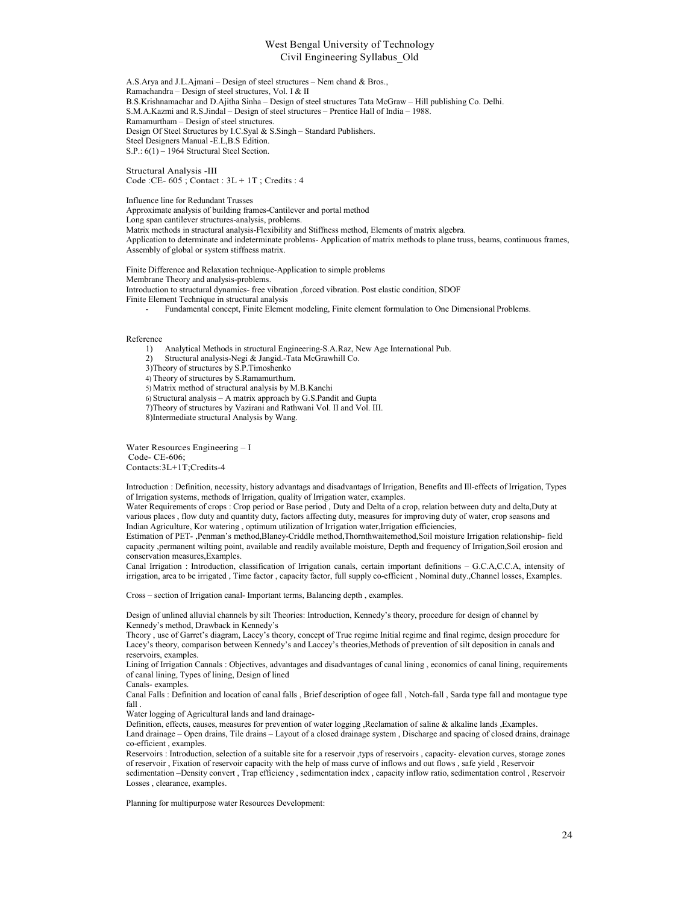A.S.Arya and J.L.Ajmani – Design of steel structures – Nem chand & Bros., Ramachandra – Design of steel structures, Vol. I & II B.S.Krishnamachar and D.Ajitha Sinha – Design of steel structures Tata McGraw – Hill publishing Co. Delhi. S.M.A.Kazmi and R.S.Jindal – Design of steel structures – Prentice Hall of India – 1988. Ramamurtham – Design of steel structures. Design Of Steel Structures by I.C.Syal & S.Singh – Standard Publishers. Steel Designers Manual -E.L,B.S Edition. S.P.: 6(1) – 1964 Structural Steel Section.

Structural Analysis -III Code :CE-  $605$ ; Contact :  $3L + 1T$ ; Credits : 4

Influence line for Redundant Trusses Approximate analysis of building frames-Cantilever and portal method Long span cantilever structures-analysis, problems. Matrix methods in structural analysis-Flexibility and Stiffness method, Elements of matrix algebra. Application to determinate and indeterminate problems- Application of matrix methods to plane truss, beams, continuous frames, Assembly of global or system stiffness matrix.

Finite Difference and Relaxation technique-Application to simple problems Membrane Theory and analysis-problems. Introduction to structural dynamics- free vibration ,forced vibration. Post elastic condition, SDOF Finite Element Technique in structural analysis

- Fundamental concept, Finite Element modeling, Finite element formulation to One Dimensional Problems.

Reference

1) Analytical Methods in structural Engineering-S.A.Raz, New Age International Pub.

2) Structural analysis-Negi & Jangid.-Tata McGrawhill Co.

3)Theory of structures by S.P.Timoshenko

4) Theory of structures by S.Ramamurthum.

5) Matrix method of structural analysis by M.B.Kanchi

6) Structural analysis – A matrix approach by G.S.Pandit and Gupta

7)Theory of structures by Vazirani and Rathwani Vol. II and Vol. III.

8)Intermediate structural Analysis by Wang.

Water Resources Engineering – I Code- CE-606; Contacts:3L+1T;Credits-4

Introduction : Definition, necessity, history advantags and disadvantags of Irrigation, Benefits and Ill-effects of Irrigation, Types of Irrigation systems, methods of Irrigation, quality of Irrigation water, examples.

Water Requirements of crops : Crop period or Base period , Duty and Delta of a crop, relation between duty and delta,Duty at various places , flow duty and quantity duty, factors affecting duty, measures for improving duty of water, crop seasons and Indian Agriculture, Kor watering , optimum utilization of Irrigation water,Irrigation efficiencies,

Estimation of PET- ,Penman's method,Blaney-Criddle method,Thornthwaitemethod,Soil moisture Irrigation relationship- field capacity ,permanent wilting point, available and readily available moisture, Depth and frequency of Irrigation,Soil erosion and conservation measures,Examples.

Canal Irrigation : Introduction, classification of Irrigation canals, certain important definitions – G.C.A,C.C.A, intensity of irrigation, area to be irrigated , Time factor , capacity factor, full supply co-efficient , Nominal duty.,Channel losses, Examples.

Cross – section of Irrigation canal- Important terms, Balancing depth , examples.

Design of unlined alluvial channels by silt Theories: Introduction, Kennedy's theory, procedure for design of channel by Kennedy's method, Drawback in Kennedy's

Theory , use of Garret's diagram, Lacey's theory, concept of True regime Initial regime and final regime, design procedure for Lacey's theory, comparison between Kennedy's and Laccey's theories,Methods of prevention of silt deposition in canals and reservoirs, examples.

Lining of Irrigation Cannals : Objectives, advantages and disadvantages of canal lining , economics of canal lining, requirements of canal lining, Types of lining, Design of lined

Canals- examples.

Canal Falls : Definition and location of canal falls , Brief description of ogee fall , Notch-fall , Sarda type fall and montague type fall .

Water logging of Agricultural lands and land drainage-

Definition, effects, causes, measures for prevention of water logging ,Reclamation of saline & alkaline lands ,Examples. Land drainage – Open drains, Tile drains – Layout of a closed drainage system , Discharge and spacing of closed drains, drainage co-efficient , examples.

Reservoirs : Introduction, selection of a suitable site for a reservoir ,typs of reservoirs , capacity- elevation curves, storage zones of reservoir , Fixation of reservoir capacity with the help of mass curve of inflows and out flows , safe yield , Reservoir sedimentation –Density convert , Trap efficiency , sedimentation index , capacity inflow ratio, sedimentation control , Reservoir Losses , clearance, examples.

Planning for multipurpose water Resources Development: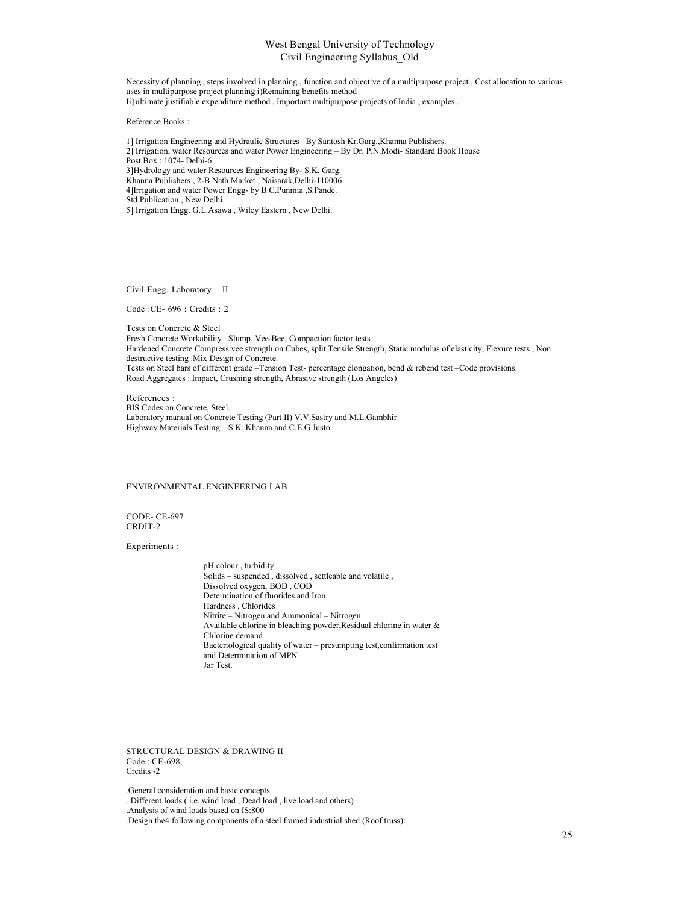Necessity of planning , steps involved in planning , function and objective of a multipurpose project , Cost allocation to various uses in multipurpose project planning i)Remaining benefits method Ii}ultimate justifiable expenditure method , Important multipurpose projects of India , examples..

Reference Books :

1] Irrigation Engineering and Hydraulic Structures –By Santosh Kr.Garg.,Khanna Publishers. 2] Irrigation, water Resources and water Power Engineering – By Dr. P.N.Modi- Standard Book House Post Box : 1074- Delhi-6. 3]Hydrology and water Resources Engineering By- S.K. Garg. Khanna Publishers , 2-B Nath Market , Naisarak,Delhi-110006 4]Irrigation and water Power Engg- by B.C.Punmia ,S.Pande. Std Publication , New Delhi.

5] Irrigation Engg. G.L.Asawa , Wiley Eastern , New Delhi.

Civil Engg. Laboratory – II

Code :CE- 696 : Credits : 2

Tests on Concrete & Steel Fresh Concrete Workability : Slump, Vee-Bee, Compaction factor tests Hardened Concrete Compressivee strength on Cubes, split Tensile Strength, Static modulus of elasticity, Flexure tests , Non destructive testing .Mix Design of Concrete. Tests on Steel bars of different grade –Tension Test- percentage elongation, bend & rebend test –Code provisions. Road Aggregates : Impact, Crushing strength, Abrasive strength (Los Angeles)

References : BIS Codes on Concrete, Steel. Laboratory manual on Concrete Testing (Part II) V.V.Sastry and M.L.Gambhir Highway Materials Testing – S.K. Khanna and C.E.G Justo

#### ENVIRONMENTAL ENGINEERING LAB

CODE- CE-697 CRDIT-2

Experiments :

pH colour , turbidity Solids – suspended , dissolved , settleable and volatile , Dissolved oxygen, BOD , COD Determination of fluorides and Iron Hardness , Chlorides Nitrite – Nitrogen and Ammonical – Nitrogen Available chlorine in bleaching powder,Residual chlorine in water & Chlorine demand . Bacteriological quality of water – presumpting test,confirmation test and Determination of MPN Jar Test.

STRUCTURAL DESIGN & DRAWING II Code : CE-698, Credits -2

.General consideration and basic concepts

. Different loads ( i.e. wind load , Dead load , live load and others)

.Analysis of wind loads based on IS:800

.Design the4 following components of a steel framed industrial shed (Roof truss):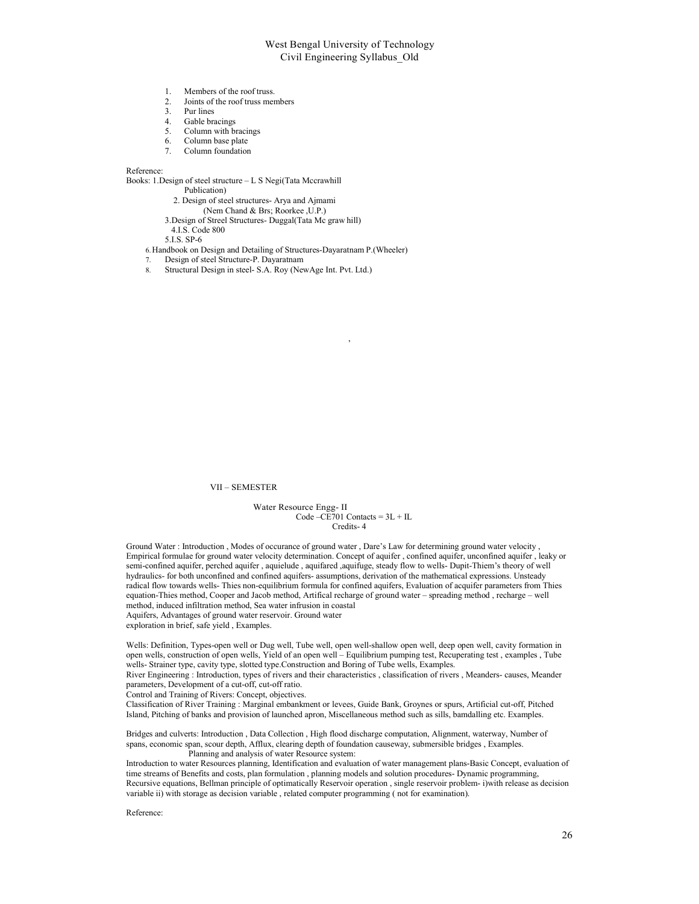- 1. Members of the roof truss.
- 2. Joints of the roof truss members
- 3. Pur lines
- 4. Gable bracings<br>5. Column with b
- Column with bracings
- 6. Column base plate<br>7. Column foundation
- Column foundation

Reference:

Books: 1.Design of steel structure – L S Negi(Tata Mccrawhill

Publication)

- 2. Design of steel structures- Arya and Ajmami
	- (Nem Chand & Brs; Roorkee ,U.P.)
- 3.Design of Streel Structures- Duggal(Tata Mc graw hill)
- 4.I.S. Code 800

5.I.S. SP-6

- 6.Handbook on Design and Detailing of Structures-Dayaratnam P.(Wheeler)
- 7. Design of steel Structure-P. Dayaratnam
- 8. Structural Design in steel- S.A. Roy (NewAge Int. Pvt. Ltd.)

#### VII – SEMESTER

Water Resource Engg- II Code – $CE701$  Contacts =  $3L + IL$ Credits- 4

,

Ground Water : Introduction , Modes of occurance of ground water , Dare's Law for determining ground water velocity , Empirical formulae for ground water velocity determination. Concept of aquifer , confined aquifer, unconfined aquifer , leaky or semi-confined aquifer, perched aquifer , aquielude , aquifared ,aquifuge, steady flow to wells- Dupit-Thiem's theory of well hydraulics- for both unconfined and confined aquifers- assumptions, derivation of the mathematical expressions. Unsteady radical flow towards wells- Thies non-equilibrium formula for confined aquifers, Evaluation of acquifer parameters from Thies equation-Thies method, Cooper and Jacob method, Artifical recharge of ground water – spreading method , recharge – well method, induced infiltration method, Sea water infrusion in coastal Aquifers, Advantages of ground water reservoir. Ground water

exploration in brief, safe yield , Examples.

Wells: Definition, Types-open well or Dug well, Tube well, open well-shallow open well, deep open well, cavity formation in open wells, construction of open wells, Yield of an open well – Equilibrium pumping test, Recuperating test , examples , Tube wells- Strainer type, cavity type, slotted type.Construction and Boring of Tube wells, Examples.

River Engineering : Introduction, types of rivers and their characteristics , classification of rivers , Meanders- causes, Meander parameters, Development of a cut-off, cut-off ratio.

Control and Training of Rivers: Concept, objectives.

Classification of River Training : Marginal embankment or levees, Guide Bank, Groynes or spurs, Artificial cut-off, Pitched Island, Pitching of banks and provision of launched apron, Miscellaneous method such as sills, bamdalling etc. Examples.

Bridges and culverts: Introduction , Data Collection , High flood discharge computation, Alignment, waterway, Number of spans, economic span, scour depth, Afflux, clearing depth of foundation causeway, submersible bridges , Examples. Planning and analysis of water Resource system:

Introduction to water Resources planning, Identification and evaluation of water management plans-Basic Concept, evaluation of time streams of Benefits and costs, plan formulation , planning models and solution procedures- Dynamic programming, Recursive equations, Bellman principle of optimatically Reservoir operation , single reservoir problem- i)with release as decision variable ii) with storage as decision variable , related computer programming ( not for examination).

Reference: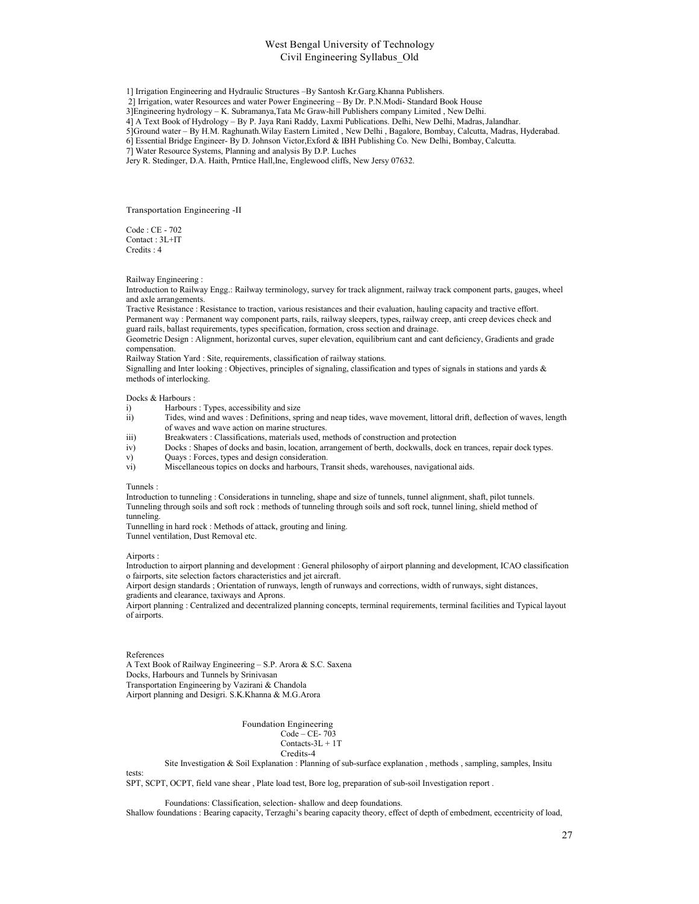1] Irrigation Engineering and Hydraulic Structures –By Santosh Kr.Garg.Khanna Publishers.

2] Irrigation, water Resources and water Power Engineering – By Dr. P.N.Modi- Standard Book House

3]Engineering hydrology – K. Subramanya,Tata Mc Graw-hill Publishers company Limited , New Delhi.

4] A Text Book of Hydrology – By P. Jaya Rani Raddy, Laxmi Publications. Delhi, New Delhi, Madras, Jalandhar.

5]Ground water – By H.M. Raghunath.Wilay Eastern Limited , New Delhi , Bagalore, Bombay, Calcutta, Madras, Hyderabad.

6] Essential Bridge Engineer- By D. Johnson Victor,Exford & IBH Publishing Co. New Delhi, Bombay, Calcutta.

7] Water Resource Systems, Planning and analysis By D.P. Luches

Jery R. Stedinger, D.A. Haith, Prntice Hall,Ine, Englewood cliffs, New Jersy 07632.

Transportation Engineering -II

Code : CE - 702 Contact : 3L+IT Credits : 4

Railway Engineering :

Introduction to Railway Engg.: Railway terminology, survey for track alignment, railway track component parts, gauges, wheel and axle arrangements.

Tractive Resistance : Resistance to traction, various resistances and their evaluation, hauling capacity and tractive effort. Permanent way : Permanent way component parts, rails, railway sleepers, types, railway creep, anti creep devices check and guard rails, ballast requirements, types specification, formation, cross section and drainage.

Geometric Design : Alignment, horizontal curves, super elevation, equilibrium cant and cant deficiency, Gradients and grade compensation.

Railway Station Yard : Site, requirements, classification of railway stations.

Signalling and Inter looking : Objectives, principles of signaling, classification and types of signals in stations and yards & methods of interlocking.

#### Docks & Harbours :

i) Harbours : Types, accessibility and size

- ii) Tides, wind and waves : Definitions, spring and neap tides, wave movement, littoral drift, deflection of waves, length of waves and wave action on marine structures.
- iii) Breakwaters : Classifications, materials used, methods of construction and protection
- iv) Docks : Shapes of docks and basin, location, arrangement of berth, dockwalls, dock en trances, repair dock types.
- v) Quays : Forces, types and design consideration.
- vi) Miscellaneous topics on docks and harbours, Transit sheds, warehouses, navigational aids.

#### Tunnels :

Introduction to tunneling : Considerations in tunneling, shape and size of tunnels, tunnel alignment, shaft, pilot tunnels. Tunneling through soils and soft rock : methods of tunneling through soils and soft rock, tunnel lining, shield method of tunneling.

Tunnelling in hard rock : Methods of attack, grouting and lining.

Tunnel ventilation, Dust Removal etc.

Airports :

Introduction to airport planning and development : General philosophy of airport planning and development, ICAO classification o fairports, site selection factors characteristics and jet aircraft.

Airport design standards ; Orientation of runways, length of runways and corrections, width of runways, sight distances, gradients and clearance, taxiways and Aprons.

Airport planning : Centralized and decentralized planning concepts, terminal requirements, terminal facilities and Typical layout of airports.

#### References

A Text Book of Railway Engineering – S.P. Arora & S.C. Saxena Docks, Harbours and Tunnels by Srinivasan Transportation Engineering by Vazirani & Chandola Airport planning and Desigri. S.K.Khanna & M.G.Arora

> Foundation Engineering Code – CE- 703 Contacts-3L + 1T Credits-4

Site Investigation & Soil Explanation : Planning of sub-surface explanation , methods , sampling, samples, Insitu

tests:

SPT, SCPT, OCPT, field vane shear , Plate load test, Bore log, preparation of sub-soil Investigation report .

Foundations: Classification, selection- shallow and deep foundations.

Shallow foundations : Bearing capacity, Terzaghi's bearing capacity theory, effect of depth of embedment, eccentricity of load,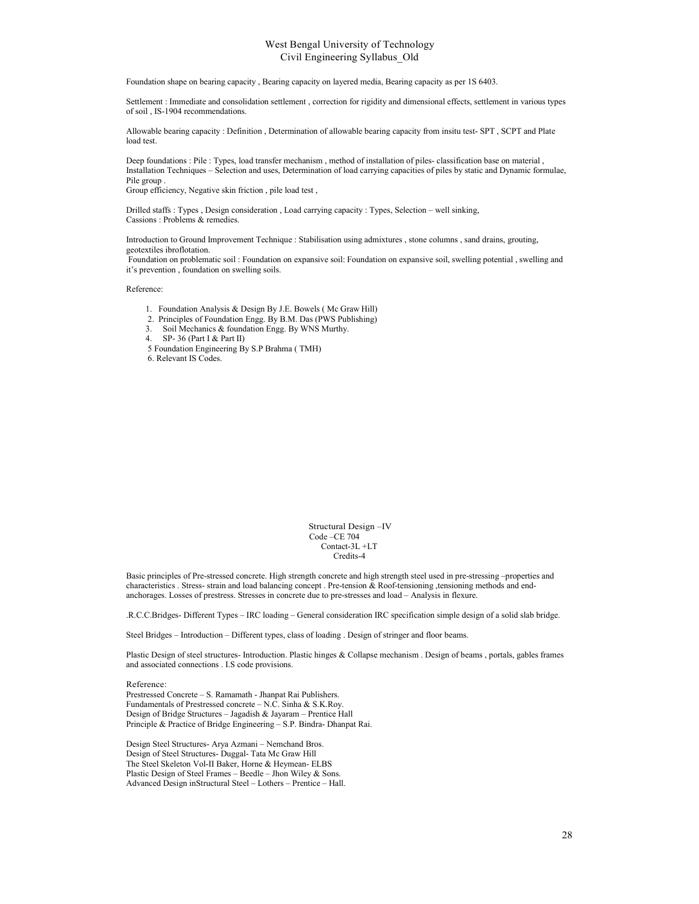Foundation shape on bearing capacity , Bearing capacity on layered media, Bearing capacity as per 1S 6403.

Settlement : Immediate and consolidation settlement , correction for rigidity and dimensional effects, settlement in various types of soil , IS-1904 recommendations.

Allowable bearing capacity : Definition , Determination of allowable bearing capacity from insitu test- SPT , SCPT and Plate load test.

Deep foundations : Pile : Types, load transfer mechanism , method of installation of piles- classification base on material , Installation Techniques – Selection and uses, Determination of load carrying capacities of piles by static and Dynamic formulae, Pile group .

Group efficiency, Negative skin friction , pile load test ,

Drilled staffs : Types , Design consideration , Load carrying capacity : Types, Selection – well sinking, Cassions : Problems & remedies.

Introduction to Ground Improvement Technique : Stabilisation using admixtures , stone columns , sand drains, grouting, geotextiles ibroflotation.

Foundation on problematic soil : Foundation on expansive soil: Foundation on expansive soil, swelling potential , swelling and it's prevention , foundation on swelling soils.

Reference:

- 1. Foundation Analysis & Design By J.E. Bowels ( Mc Graw Hill)
- 2. Principles of Foundation Engg. By B.M. Das (PWS Publishing)
- 3. Soil Mechanics & foundation Engg. By WNS Murthy.
- 4. SP- 36 (Part I & Part II)
- 5 Foundation Engineering By S.P Brahma ( TMH)

6. Relevant IS Codes.

Structural Design –IV Code –CE 704 Contact-3L +LT Credits-4

Basic principles of Pre-stressed concrete. High strength concrete and high strength steel used in pre-stressing –properties and characteristics . Stress- strain and load balancing concept . Pre-tension & Roof-tensioning ,tensioning methods and endanchorages. Losses of prestress. Stresses in concrete due to pre-stresses and load – Analysis in flexure.

.R.C.C.Bridges- Different Types – IRC loading – General consideration IRC specification simple design of a solid slab bridge.

Steel Bridges – Introduction – Different types, class of loading . Design of stringer and floor beams.

Plastic Design of steel structures- Introduction. Plastic hinges & Collapse mechanism . Design of beams , portals, gables frames and associated connections . I.S code provisions.

Reference:

Prestressed Concrete – S. Ramamath - Jhanpat Rai Publishers. Fundamentals of Prestressed concrete – N.C. Sinha & S.K.Roy. Design of Bridge Structures – Jagadish & Jayaram – Prentice Hall Principle & Practice of Bridge Engineering – S.P. Bindra- Dhanpat Rai.

Design Steel Structures- Arya Azmani – Nemchand Bros. Design of Steel Structures- Duggal- Tata Mc Graw Hill The Steel Skeleton Vol-II Baker, Horne & Heymean- ELBS Plastic Design of Steel Frames – Beedle – Jhon Wiley & Sons. Advanced Design inStructural Steel – Lothers – Prentice – Hall.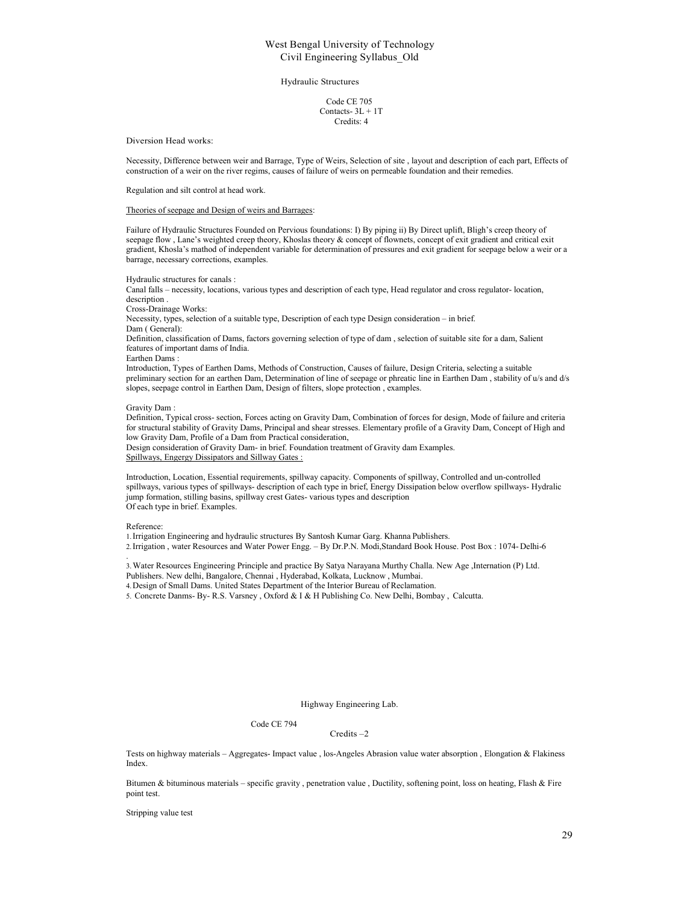#### Hydraulic Structures

Code CE 705 Contacts- 3L + 1T Credits: 4

#### Diversion Head works:

Necessity, Difference between weir and Barrage, Type of Weirs, Selection of site , layout and description of each part, Effects of construction of a weir on the river regims, causes of failure of weirs on permeable foundation and their remedies.

Regulation and silt control at head work.

#### Theories of seepage and Design of weirs and Barrages:

Failure of Hydraulic Structures Founded on Pervious foundations: I) By piping ii) By Direct uplift, Bligh's creep theory of seepage flow , Lane's weighted creep theory, Khoslas theory & concept of flownets, concept of exit gradient and critical exit gradient, Khosla's mathod of independent variable for determination of pressures and exit gradient for seepage below a weir or a barrage, necessary corrections, examples.

Hydraulic structures for canals :

Canal falls – necessity, locations, various types and description of each type, Head regulator and cross regulator- location, description .

Cross-Drainage Works:

Necessity, types, selection of a suitable type, Description of each type Design consideration – in brief. Dam ( General):

Definition, classification of Dams, factors governing selection of type of dam , selection of suitable site for a dam, Salient features of important dams of India.

Earthen Dams :

Introduction, Types of Earthen Dams, Methods of Construction, Causes of failure, Design Criteria, selecting a suitable preliminary section for an earthen Dam, Determination of line of seepage or phreatic line in Earthen Dam , stability of u/s and d/s slopes, seepage control in Earthen Dam, Design of filters, slope protection , examples.

#### Gravity Dam :

Definition, Typical cross- section, Forces acting on Gravity Dam, Combination of forces for design, Mode of failure and criteria for structural stability of Gravity Dams, Principal and shear stresses. Elementary profile of a Gravity Dam, Concept of High and low Gravity Dam, Profile of a Dam from Practical consideration,

Design consideration of Gravity Dam- in brief. Foundation treatment of Gravity dam Examples. Spillways, Engergy Dissipators and Sillway Gates :

Introduction, Location, Essential requirements, spillway capacity. Components of spillway, Controlled and un-controlled spillways, various types of spillways- description of each type in brief, Energy Dissipation below overflow spillways- Hydralic jump formation, stilling basins, spillway crest Gates- various types and description Of each type in brief. Examples.

Reference:

1.Irrigation Engineering and hydraulic structures By Santosh Kumar Garg. Khanna Publishers.

2.Irrigation , water Resources and Water Power Engg. – By Dr.P.N. Modi,Standard Book House. Post Box : 1074- Delhi-6 .

3.Water Resources Engineering Principle and practice By Satya Narayana Murthy Challa. New Age ,Internation (P) Ltd.

Publishers. New delhi, Bangalore, Chennai , Hyderabad, Kolkata, Lucknow , Mumbai.

4.Design of Small Dams. United States Department of the Interior Bureau of Reclamation.

5. Concrete Danms- By- R.S. Varsney , Oxford & I & H Publishing Co. New Delhi, Bombay , Calcutta.

#### Highway Engineering Lab.

#### Code CE 794

#### Credits –2

Tests on highway materials – Aggregates- Impact value , los-Angeles Abrasion value water absorption , Elongation & Flakiness Index.

Bitumen & bituminous materials – specific gravity , penetration value , Ductility, softening point, loss on heating, Flash & Fire point test.

Stripping value test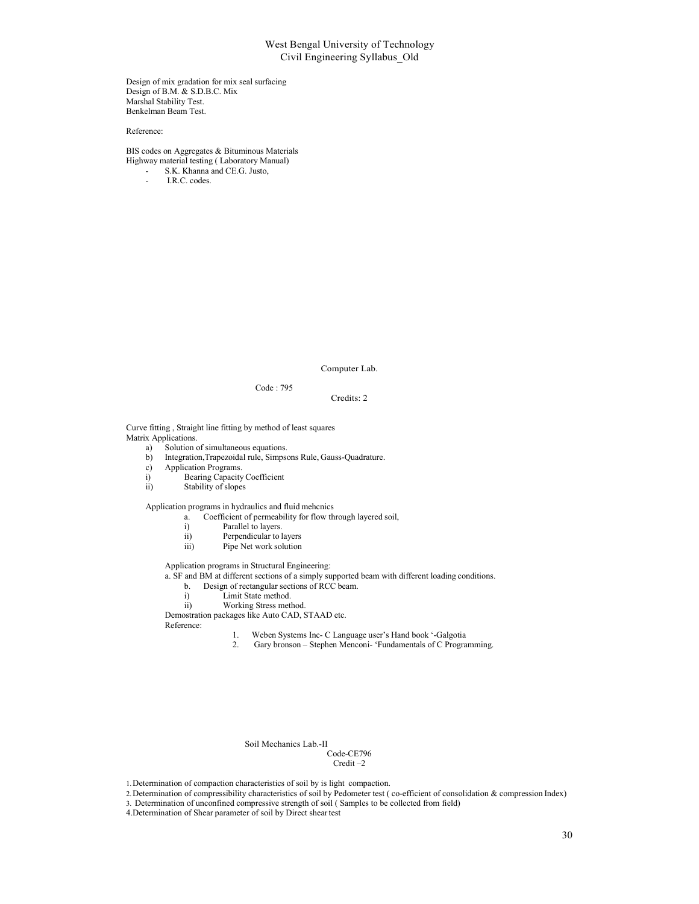Design of mix gradation for mix seal surfacing Design of B.M. & S.D.B.C. Mix Marshal Stability Test. Benkelman Beam Test.

Reference:

BIS codes on Aggregates & Bituminous Materials Highway material testing ( Laboratory Manual)

- S.K. Khanna and CE.G. Justo,

I.R.C. codes.

Computer Lab.

Code : 795

#### Credits: 2

Curve fitting , Straight line fitting by method of least squares Matrix Applications.

- a) Solution of simultaneous equations.<br>b) Integration, Trapezoidal rule, Simpson
	- b) Integration,Trapezoidal rule, Simpsons Rule, Gauss-Quadrature.
- c) Application Programs.
- i) Bearing Capacity Coefficient
- ii) Stability of slopes

Application programs in hydraulics and fluid mehcnics

- a. Coefficient of permeability for flow through layered soil,
- i) Parallel to layers.
- ii) Perpendicular to layers
- iii) Pipe Net work solution

Application programs in Structural Engineering:

- a. SF and BM at different sections of a simply supported beam with different loading conditions.
	- b. Design of rectangular sections of RCC beam.
	- i) Limit State method.
- ii) Working Stress method.

Demostration packages like Auto CAD, STAAD etc.

Reference:

- 1. Weben Systems Inc- C Language user's Hand book '-Galgotia<br>2. Gary bronson Stephen Menconi- 'Fundamentals of C Progra
	- Gary bronson Stephen Menconi- 'Fundamentals of C Programming.

#### Soil Mechanics Lab.-II

# Code-CE796

Credit –2

1.Determination of compaction characteristics of soil by is light compaction.

3. Determination of unconfined compressive strength of soil ( Samples to be collected from field)

<sup>2.</sup>Determination of compressibility characteristics of soil by Pedometer test ( co-efficient of consolidation & compression Index)

<sup>4.</sup>Determination of Shear parameter of soil by Direct shear test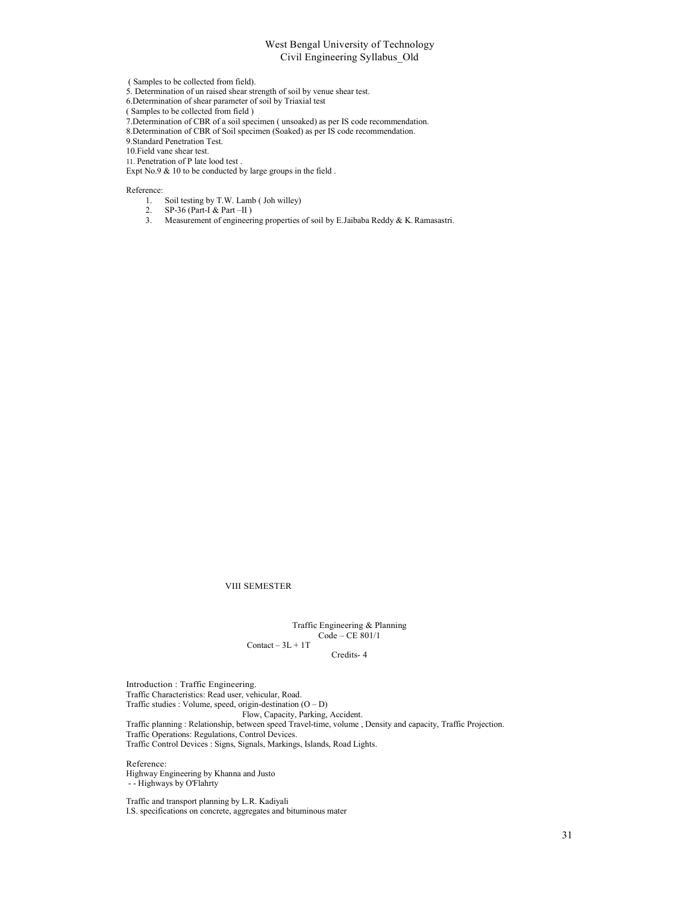( Samples to be collected from field).

5. Determination of un raised shear strength of soil by venue shear test.

6.Determination of shear parameter of soil by Triaxial test

( Samples to be collected from field )

7.Determination of CBR of a soil specimen ( unsoaked) as per IS code recommendation.

8.Determination of CBR of Soil specimen (Soaked) as per IS code recommendation.

9.Standard Penetration Test.

10.Field vane shear test.

11. Penetration of P late lood test .

Expt No.9 & 10 to be conducted by large groups in the field .

Reference:

- 1. Soil testing by T.W. Lamb ( Joh willey)
- 2. SP-36 (Part-I & Part –II)<br>3. Measurement of engineer
- 3. Measurement of engineering properties of soil by E.Jaibaba Reddy & K. Ramasastri.

VIII SEMESTER

Traffic Engineering & Planning Code – CE 801/1  $Content - 3L + 1T$ 

Credits- 4

Introduction : Traffic Engineering. Traffic Characteristics: Read user, vehicular, Road. Traffic studies : Volume, speed, origin-destination (O – D) Flow, Capacity, Parking, Accident. Traffic planning : Relationship, between speed Travel-time, volume , Density and capacity, Traffic Projection. Traffic Operations: Regulations, Control Devices. Traffic Control Devices : Signs, Signals, Markings, Islands, Road Lights.

Reference: Highway Engineering by Khanna and Justo - - Highways by O'Flahrty

Traffic and transport planning by L.R. Kadiyali I.S. specifications on concrete, aggregates and bituminous mater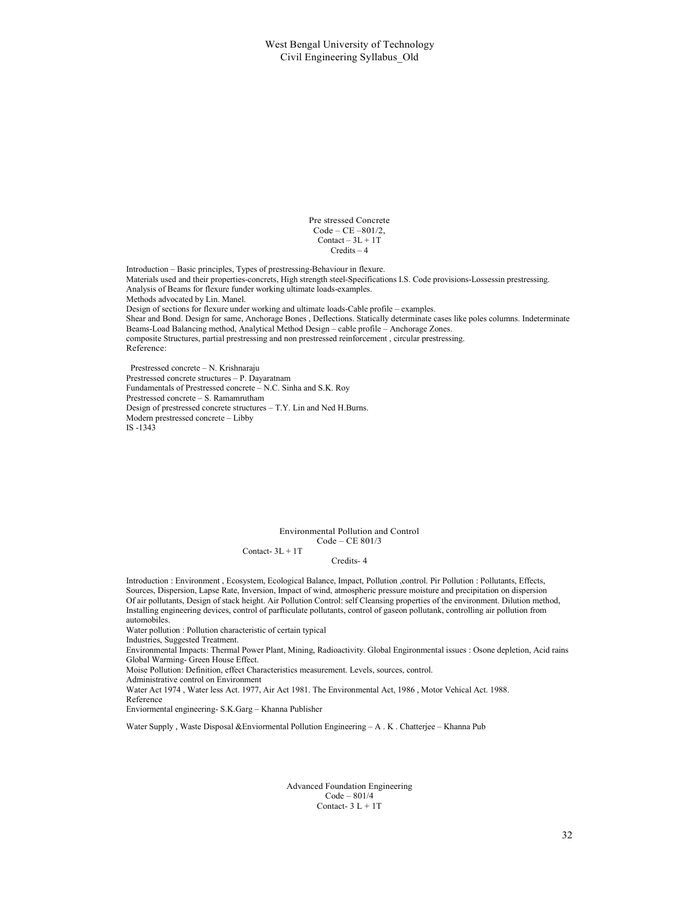Pre stressed Concrete Code – CE –801/2,  $Content - 3L + 1T$ Credits – 4

Introduction – Basic principles, Types of prestressing-Behaviour in flexure. Materials used and their properties-concrets, High strength steel-Specifications I.S. Code provisions-Lossessin prestressing. Analysis of Beams for flexure funder working ultimate loads-examples. Methods advocated by Lin. Manel. Design of sections for flexure under working and ultimate loads-Cable profile – examples. Shear and Bond. Design for same, Anchorage Bones , Deflections. Statically determinate cases like poles columns. Indeterminate Beams-Load Balancing method, Analytical Method Design – cable profile – Anchorage Zones. composite Structures, partial prestressing and non prestressed reinforcement , circular prestressing. Reference:

Prestressed concrete – N. Krishnaraju Prestressed concrete structures – P. Dayaratnam Fundamentals of Prestressed concrete – N.C. Sinha and S.K. Roy Prestressed concrete – S. Ramamrutham Design of prestressed concrete structures – T.Y. Lin and Ned H.Burns. Modern prestressed concrete – Libby IS -1343

> Environmental Pollution and Control Code – CE 801/3 Contact- $3L + 1T$

> > Credits- 4

Introduction : Environment , Ecosystem, Ecological Balance, Impact, Pollution ,control. Pir Pollution : Pollutants, Effects, Sources, Dispersion, Lapse Rate, Inversion, Impact of wind, atmospheric pressure moisture and precipitation on dispersion Of air pollutants, Design of stack height. Air Pollution Control: self Cleansing properties of the environment. Dilution method, Installing engineering devices, control of parfticulate pollutants, control of gaseon pollutank, controlling air pollution from automobiles.

Water pollution : Pollution characteristic of certain typical

Industries, Suggested Treatment.

Environmental Impacts: Thermal Power Plant, Mining, Radioactivity. Global Engironmental issues : Osone depletion, Acid rains Global Warming- Green House Effect.

Moise Pollution: Definition, effect Characteristics measurement. Levels, sources, control.

Administrative control on Environment

Water Act 1974 , Water less Act. 1977, Air Act 1981. The Environmental Act, 1986 , Motor Vehical Act. 1988. Reference

Enviormental engineering- S.K.Garg – Khanna Publisher

Water Supply, Waste Disposal &Enviormental Pollution Engineering – A. K. Chatterjee – Khanna Pub

Advanced Foundation Engineering Code – 801/4 Contact-  $3 L + 1T$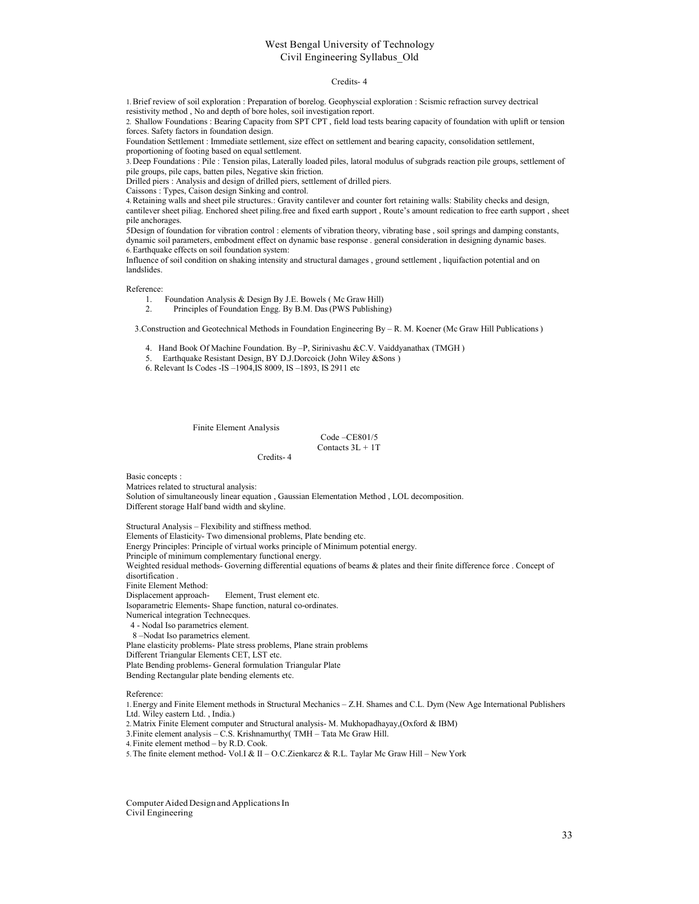#### Credits- 4

1.Brief review of soil exploration : Preparation of borelog. Geophyscial exploration : Scismic refraction survey dectrical resistivity method , No and depth of bore holes, soil investigation report.

2. Shallow Foundations : Bearing Capacity from SPT CPT , field load tests bearing capacity of foundation with uplift or tension forces. Safety factors in foundation design.

Foundation Settlement : Immediate settlement, size effect on settlement and bearing capacity, consolidation settlement,

proportioning of footing based on equal settlement.

3. Deep Foundations : Pile : Tension pilas, Laterally loaded piles, latoral modulus of subgrads reaction pile groups, settlement of pile groups, pile caps, batten piles, Negative skin friction.

Drilled piers : Analysis and design of drilled piers, settlement of drilled piers.

Caissons : Types, Caison design Sinking and control.

4.Retaining walls and sheet pile structures.: Gravity cantilever and counter fort retaining walls: Stability checks and design, cantilever sheet piliag. Enchored sheet piling.free and fixed earth support , Route's amount redication to free earth support , sheet pile anchorages.

5Design of foundation for vibration control : elements of vibration theory, vibrating base , soil springs and damping constants, dynamic soil parameters, embodment effect on dynamic base response . general consideration in designing dynamic bases. 6.Earthquake effects on soil foundation system:

Influence of soil condition on shaking intensity and structural damages , ground settlement , liquifaction potential and on landslides.

Reference:

1. Foundation Analysis & Design By J.E. Bowels ( Mc Graw Hill)

2. Principles of Foundation Engg. By B.M. Das (PWS Publishing)

3.Construction and Geotechnical Methods in Foundation Engineering By – R. M. Koener (Mc Graw Hill Publications )

4. Hand Book Of Machine Foundation. By –P, Sirinivashu &C.V. Vaiddyanathax (TMGH )

5. Earthquake Resistant Design, BY D.J.Dorcoick (John Wiley &Sons )

Credits- 4

6. Relevant Is Codes -IS –1904,IS 8009, IS –1893, IS 2911 etc

Finite Element Analysis

Code –CE801/5 Contacts 3L + 1T

Basic concepts : Matrices related to structural analysis: Solution of simultaneously linear equation , Gaussian Elementation Method , LOL decomposition. Different storage Half band width and skyline.

Structural Analysis – Flexibility and stiffness method. Elements of Elasticity- Two dimensional problems, Plate bending etc. Energy Principles: Principle of virtual works principle of Minimum potential energy. Principle of minimum complementary functional energy. Weighted residual methods- Governing differential equations of beams & plates and their finite difference force . Concept of disortification . Finite Element Method: Displacement approach- Element, Trust element etc. Isoparametric Elements- Shape function, natural co-ordinates. Numerical integration Technecques. 4 - Nodal Iso parametrics element. 8 –Nodat Iso parametrics element. Plane elasticity problems- Plate stress problems, Plane strain problems Different Triangular Elements CET, LST etc. Plate Bending problems- General formulation Triangular Plate Bending Rectangular plate bending elements etc.

Reference:

1.Energy and Finite Element methods in Structural Mechanics – Z.H. Shames and C.L. Dym (New Age International Publishers Ltd. Wiley eastern Ltd. , India.) 2.Matrix Finite Element computer and Structural analysis- M. Mukhopadhayay,(Oxford & IBM) 3.Finite element analysis – C.S. Krishnamurthy( TMH – Tata Mc Graw Hill. 4.Finite element method – by R.D. Cook. 5.The finite element method- Vol.I & II – O.C.Zienkarcz & R.L. Taylar Mc Graw Hill – New York

Computer Aided Design and Applications In Civil Engineering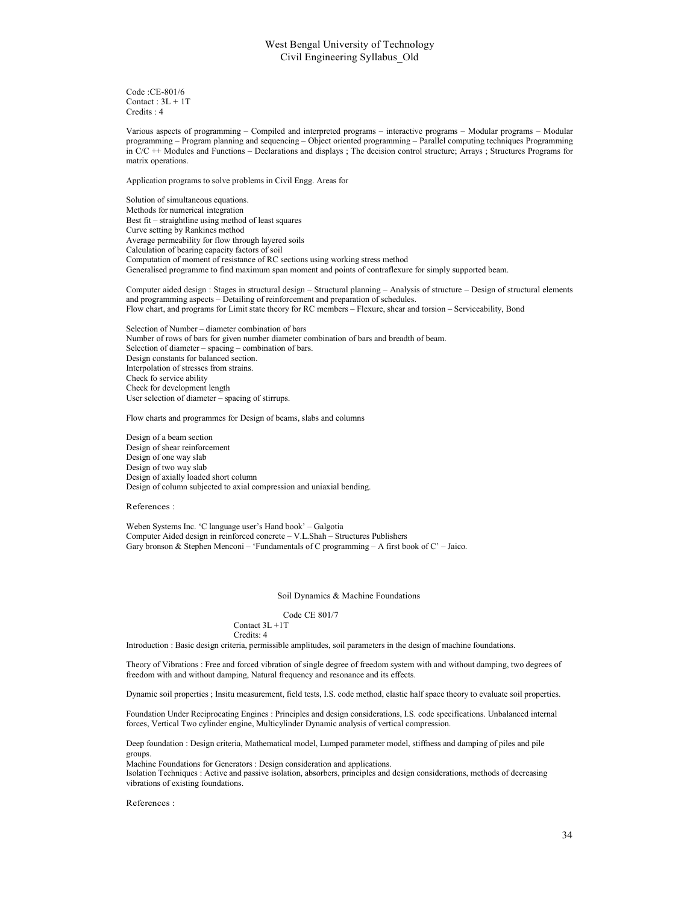Code :CE-801/6 Contact : 3L + 1T Credits : 4

Various aspects of programming – Compiled and interpreted programs – interactive programs – Modular programs – Modular programming – Program planning and sequencing – Object oriented programming – Parallel computing techniques Programming in C/C ++ Modules and Functions – Declarations and displays ; The decision control structure; Arrays ; Structures Programs for matrix operations.

Application programs to solve problems in Civil Engg. Areas for

Solution of simultaneous equations. Methods for numerical integration Best fit – straightline using method of least squares Curve setting by Rankines method Average permeability for flow through layered soils Calculation of bearing capacity factors of soil Computation of moment of resistance of RC sections using working stress method Generalised programme to find maximum span moment and points of contraflexure for simply supported beam.

Computer aided design : Stages in structural design – Structural planning – Analysis of structure – Design of structural elements and programming aspects – Detailing of reinforcement and preparation of schedules. Flow chart, and programs for Limit state theory for RC members – Flexure, shear and torsion – Serviceability, Bond

Selection of Number – diameter combination of bars Number of rows of bars for given number diameter combination of bars and breadth of beam. Selection of diameter – spacing – combination of bars. Design constants for balanced section. Interpolation of stresses from strains. Check fo service ability Check for development length User selection of diameter – spacing of stirrups.

Flow charts and programmes for Design of beams, slabs and columns

Design of a beam section Design of shear reinforcement Design of one way slab Design of two way slab Design of axially loaded short column Design of column subjected to axial compression and uniaxial bending.

References :

Weben Systems Inc. 'C language user's Hand book' – Galgotia Computer Aided design in reinforced concrete – V.L.Shah – Structures Publishers Gary bronson & Stephen Menconi – 'Fundamentals of C programming – A first book of C' – Jaico.

#### Soil Dynamics & Machine Foundations

Code CE 801/7

Contact 3L +1T Credits: 4

Introduction : Basic design criteria, permissible amplitudes, soil parameters in the design of machine foundations.

Theory of Vibrations : Free and forced vibration of single degree of freedom system with and without damping, two degrees of freedom with and without damping, Natural frequency and resonance and its effects.

Dynamic soil properties ; Insitu measurement, field tests, I.S. code method, elastic half space theory to evaluate soil properties.

Foundation Under Reciprocating Engines : Principles and design considerations, I.S. code specifications. Unbalanced internal forces, Vertical Two cylinder engine, Multicylinder Dynamic analysis of vertical compression.

Deep foundation : Design criteria, Mathematical model, Lumped parameter model, stiffness and damping of piles and pile groups.

Machine Foundations for Generators : Design consideration and applications.

Isolation Techniques : Active and passive isolation, absorbers, principles and design considerations, methods of decreasing vibrations of existing foundations.

References :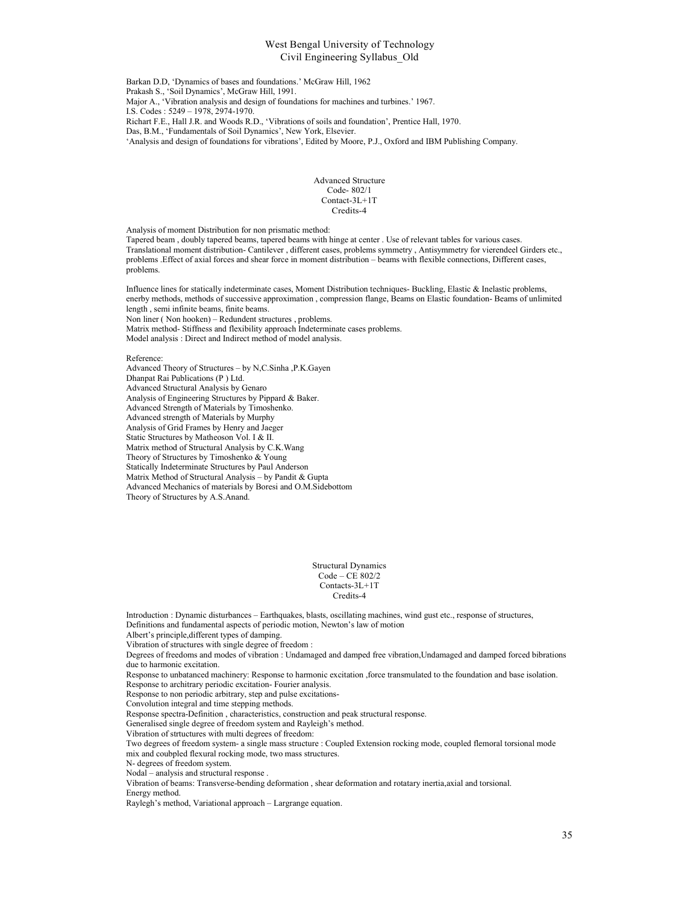Barkan D.D, 'Dynamics of bases and foundations.' McGraw Hill, 1962 Prakash S., 'Soil Dynamics', McGraw Hill, 1991. Major A., 'Vibration analysis and design of foundations for machines and turbines.' 1967. I.S. Codes : 5249 – 1978, 2974-1970. Richart F.E., Hall J.R. and Woods R.D., 'Vibrations of soils and foundation', Prentice Hall, 1970. Das, B.M., 'Fundamentals of Soil Dynamics', New York, Elsevier. 'Analysis and design of foundations for vibrations', Edited by Moore, P.J., Oxford and IBM Publishing Company.

#### Advanced Structure Code- 802/1 Contact-3L+1T Credits-4

Analysis of moment Distribution for non prismatic method:

Tapered beam , doubly tapered beams, tapered beams with hinge at center . Use of relevant tables for various cases. Translational moment distribution- Cantilever , different cases, problems symmetry , Antisymmetry for vierendeel Girders etc., problems .Effect of axial forces and shear force in moment distribution – beams with flexible connections, Different cases, problems.

Influence lines for statically indeterminate cases, Moment Distribution techniques- Buckling, Elastic & Inelastic problems, enerby methods, methods of successive approximation , compression flange, Beams on Elastic foundation- Beams of unlimited length , semi infinite beams, finite beams. Non liner ( Non hooken) – Redundent structures , problems.

Matrix method- Stiffness and flexibility approach Indeterminate cases problems. Model analysis : Direct and Indirect method of model analysis.

#### Reference:

Advanced Theory of Structures – by N,C.Sinha ,P.K.Gayen Dhanpat Rai Publications (P ) Ltd. Advanced Structural Analysis by Genaro Analysis of Engineering Structures by Pippard & Baker. Advanced Strength of Materials by Timoshenko. Advanced strength of Materials by Murphy Analysis of Grid Frames by Henry and Jaeger Static Structures by Matheoson Vol. I & II. Matrix method of Structural Analysis by C.K.Wang Theory of Structures by Timoshenko & Young Statically Indeterminate Structures by Paul Anderson Matrix Method of Structural Analysis – by Pandit & Gupta Advanced Mechanics of materials by Boresi and O.M.Sidebottom Theory of Structures by A.S.Anand.

> Structural Dynamics Code – CE 802/2 Contacts-3L+1T Credits-4

Introduction : Dynamic disturbances – Earthquakes, blasts, oscillating machines, wind gust etc., response of structures, Definitions and fundamental aspects of periodic motion, Newton's law of motion Albert's principle,different types of damping. Vibration of structures with single degree of freedom : Degrees of freedoms and modes of vibration : Undamaged and damped free vibration,Undamaged and damped forced bibrations due to harmonic excitation. Response to unbatanced machinery: Response to harmonic excitation ,force transmulated to the foundation and base isolation. Response to architrary periodic excitation- Fourier analysis. Response to non periodic arbitrary, step and pulse excitations-Convolution integral and time stepping methods. Response spectra-Definition , characteristics, construction and peak structural response. Generalised single degree of freedom system and Rayleigh's method. Vibration of strtuctures with multi degrees of freedom: Two degrees of freedom system- a single mass structure : Coupled Extension rocking mode, coupled flemoral torsional mode mix and coubpled flexural rocking mode, two mass structures. N- degrees of freedom system. Nodal – analysis and structural response . Vibration of beams: Transverse-bending deformation , shear deformation and rotatary inertia,axial and torsional. Energy method.

Raylegh's method, Variational approach – Largrange equation.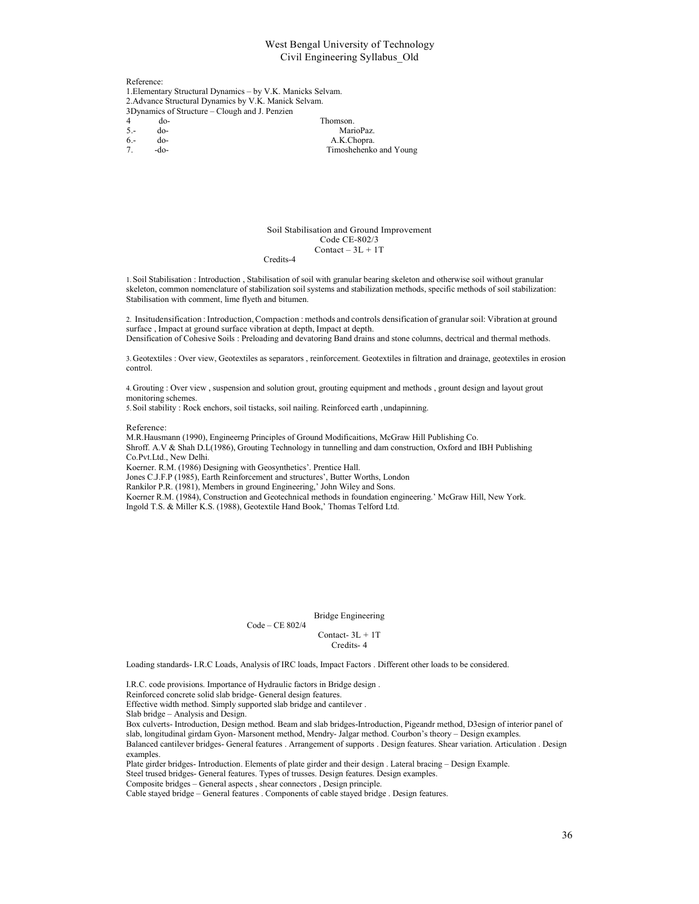Reference: 1.Elementary Structural Dynamics – by V.K. Manicks Selvam. 2.Advance Structural Dynamics by V.K. Manick Selvam. 3Dynamics of Structure – Clough and J. Penzien 4 do-<br>5.- do-<br>Mar do- MarioPaz.

6.- do-<br>
7. -do-<br>
2. Timoshehenko 7. -do- Timoshehenko and Young

> Soil Stabilisation and Ground Improvement Code CE-802/3  $Content - 3L + 1T$ Credits-4

1.Soil Stabilisation : Introduction , Stabilisation of soil with granular bearing skeleton and otherwise soil without granular skeleton, common nomenclature of stabilization soil systems and stabilization methods, specific methods of soil stabilization: Stabilisation with comment, lime flyeth and bitumen.

2. Insitudensification : Introduction, Compaction : methods and controls densification of granular soil: Vibration at ground surface , Impact at ground surface vibration at depth, Impact at depth. Densification of Cohesive Soils : Preloading and devatoring Band drains and stone columns, dectrical and thermal methods.

3.Geotextiles : Over view, Geotextiles as separators , reinforcement. Geotextiles in filtration and drainage, geotextiles in erosion control.

4.Grouting : Over view , suspension and solution grout, grouting equipment and methods , grount design and layout grout monitoring schemes.

5.Soil stability : Rock enchors, soil tistacks, soil nailing. Reinforced earth , undapinning.

Reference:

M.R.Hausmann (1990), Engineerng Principles of Ground Modificaitions, McGraw Hill Publishing Co. Shroff. A.V & Shah D.L(1986), Grouting Technology in tunnelling and dam construction, Oxford and IBH Publishing Co.Pvt.Ltd., New Delhi. Koerner. R.M. (1986) Designing with Geosynthetics'. Prentice Hall. Jones C.J.F.P (1985), Earth Reinforcement and structures', Butter Worths, London Rankilor P.R. (1981), Members in ground Engineering,' John Wiley and Sons. Koerner R.M. (1984), Construction and Geotechnical methods in foundation engineering.' McGraw Hill, New York. Ingold T.S. & Miller K.S. (1988), Geotextile Hand Book,' Thomas Telford Ltd.

Bridge Engineering

Contact- 3L + 1T Credits- 4

Loading standards- I.R.C Loads, Analysis of IRC loads, Impact Factors . Different other loads to be considered.

I.R.C. code provisions. Importance of Hydraulic factors in Bridge design .

Code – CE 802/4

Reinforced concrete solid slab bridge- General design features.

Effective width method. Simply supported slab bridge and cantilever .

Slab bridge – Analysis and Design.

Box culverts- Introduction, Design method. Beam and slab bridges-Introduction, Pigeandr method, D3esign of interior panel of slab, longitudinal girdam Gyon- Marsonent method, Mendry- Jalgar method. Courbon's theory – Design examples.

Balanced cantilever bridges- General features . Arrangement of supports . Design features. Shear variation. Articulation . Design examples.

Plate girder bridges- Introduction. Elements of plate girder and their design . Lateral bracing – Design Example.

Steel trused bridges- General features. Types of trusses. Design features. Design examples.

Composite bridges – General aspects , shear connectors , Design principle.

Cable stayed bridge – General features . Components of cable stayed bridge . Design features.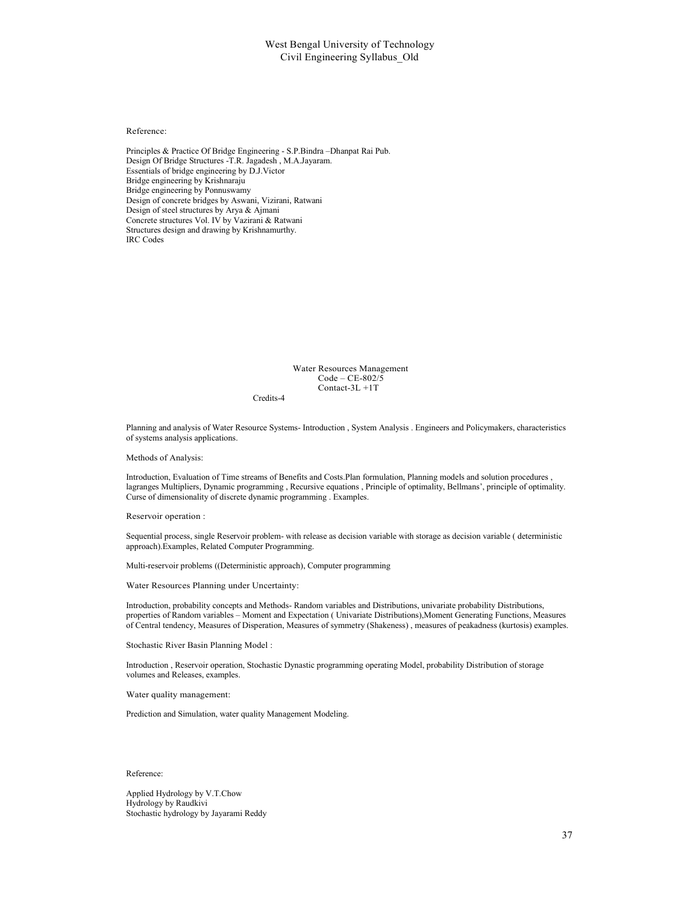#### Reference:

Principles & Practice Of Bridge Engineering - S.P.Bindra –Dhanpat Rai Pub. Design Of Bridge Structures -T.R. Jagadesh , M.A.Jayaram. Essentials of bridge engineering by D.J.Victor Bridge engineering by Krishnaraju Bridge engineering by Ponnuswamy Design of concrete bridges by Aswani, Vizirani, Ratwani Design of steel structures by Arya & Ajmani Concrete structures Vol. IV by Vazirani & Ratwani Structures design and drawing by Krishnamurthy. IRC Codes

> Water Resources Management Code – CE-802/5 Contact-3L +1T

Credits-4

Planning and analysis of Water Resource Systems- Introduction , System Analysis . Engineers and Policymakers, characteristics of systems analysis applications.

#### Methods of Analysis:

Introduction, Evaluation of Time streams of Benefits and Costs.Plan formulation, Planning models and solution procedures , lagranges Multipliers, Dynamic programming , Recursive equations , Principle of optimality, Bellmans', principle of optimality. Curse of dimensionality of discrete dynamic programming . Examples.

Reservoir operation :

Sequential process, single Reservoir problem- with release as decision variable with storage as decision variable ( deterministic approach).Examples, Related Computer Programming.

Multi-reservoir problems ((Deterministic approach), Computer programming

Water Resources Planning under Uncertainty:

Introduction, probability concepts and Methods- Random variables and Distributions, univariate probability Distributions, properties of Random variables – Moment and Expectation ( Univariate Distributions),Moment Generating Functions, Measures of Central tendency, Measures of Disperation, Measures of symmetry (Shakeness) , measures of peakadness (kurtosis) examples.

Stochastic River Basin Planning Model :

Introduction , Reservoir operation, Stochastic Dynastic programming operating Model, probability Distribution of storage volumes and Releases, examples.

Water quality management:

Prediction and Simulation, water quality Management Modeling.

Reference:

Applied Hydrology by V.T.Chow Hydrology by Raudkivi Stochastic hydrology by Jayarami Reddy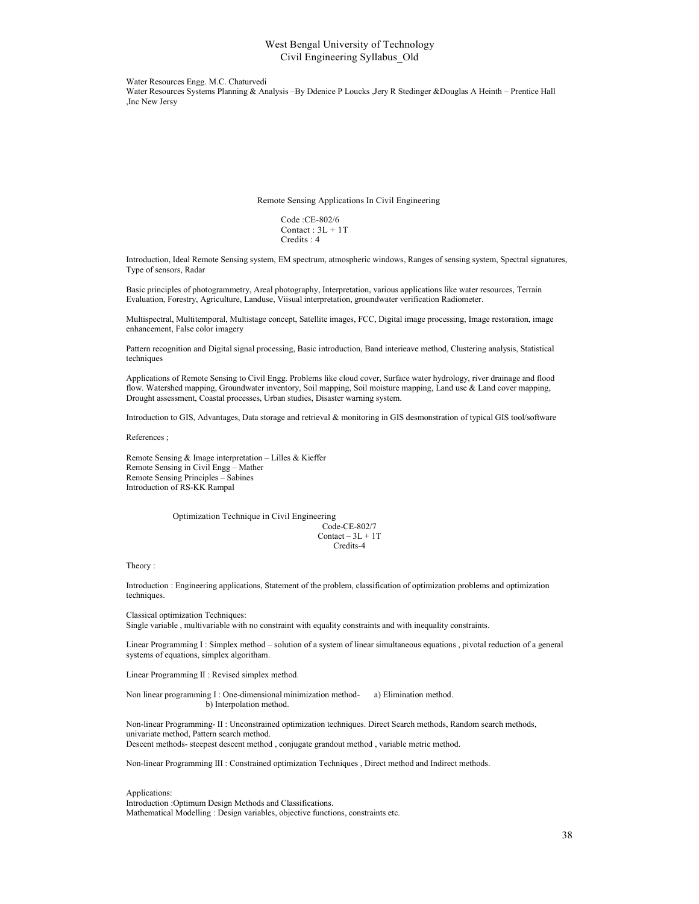Water Resources Engg. M.C. Chaturvedi Water Resources Systems Planning & Analysis –By Ddenice P Loucks ,Jery R Stedinger &Douglas A Heinth – Prentice Hall ,Inc New Jersy

Remote Sensing Applications In Civil Engineering

Code :CE-802/6 Contact :  $3L + 1T$ Credits : 4

Introduction, Ideal Remote Sensing system, EM spectrum, atmospheric windows, Ranges of sensing system, Spectral signatures, Type of sensors, Radar

Basic principles of photogrammetry, Areal photography, Interpretation, various applications like water resources, Terrain Evaluation, Forestry, Agriculture, Landuse, Viisual interpretation, groundwater verification Radiometer.

Multispectral, Multitemporal, Multistage concept, Satellite images, FCC, Digital image processing, Image restoration, image enhancement, False color imagery

Pattern recognition and Digital signal processing, Basic introduction, Band interieave method, Clustering analysis, Statistical techniques

Applications of Remote Sensing to Civil Engg. Problems like cloud cover, Surface water hydrology, river drainage and flood flow. Watershed mapping, Groundwater inventory, Soil mapping, Soil moisture mapping, Land use & Land cover mapping, Drought assessment, Coastal processes, Urban studies, Disaster warning system.

Introduction to GIS, Advantages, Data storage and retrieval & monitoring in GIS desmonstration of typical GIS tool/software

References ;

Remote Sensing & Image interpretation – Lilles & Kieffer Remote Sensing in Civil Engg – Mather Remote Sensing Principles – Sabines Introduction of RS-KK Rampal

> Optimization Technique in Civil Engineering Code-CE-802/7  $Content - 3L + 1T$ Credits-4

Theory :

Introduction : Engineering applications, Statement of the problem, classification of optimization problems and optimization techniques.

Classical optimization Techniques:

Single variable , multivariable with no constraint with equality constraints and with inequality constraints.

Linear Programming I : Simplex method – solution of a system of linear simultaneous equations , pivotal reduction of a general systems of equations, simplex algoritham.

Linear Programming II : Revised simplex method.

Non linear programming I : One-dimensional minimization method- a) Elimination method. b) Interpolation method.

Non-linear Programming- II : Unconstrained optimization techniques. Direct Search methods, Random search methods, univariate method, Pattern search method. Descent methods- steepest descent method , conjugate grandout method , variable metric method.

Non-linear Programming III : Constrained optimization Techniques , Direct method and Indirect methods.

Applications:

Introduction :Optimum Design Methods and Classifications. Mathematical Modelling : Design variables, objective functions, constraints etc.